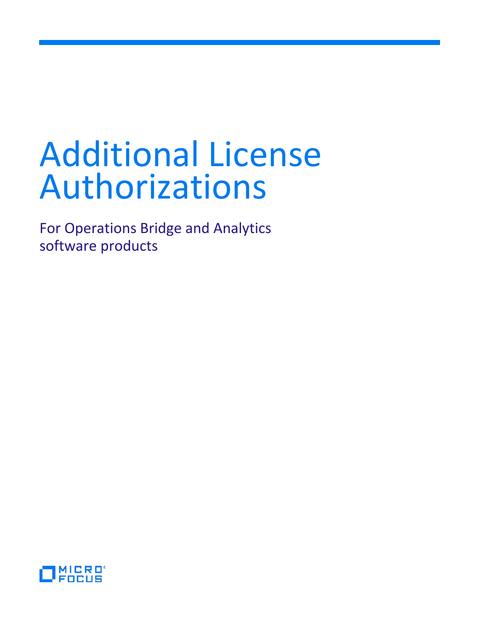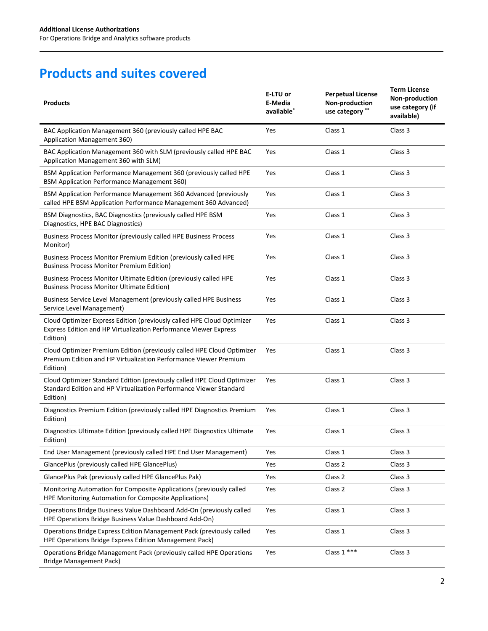# **Products and suites covered**

| <b>Products</b>                                                                                                                                           | E-LTU or<br>E-Media<br>available <sup>*</sup> | <b>Perpetual License</b><br>Non-production<br>use category ** | <b>Term License</b><br>Non-production<br>use category (if<br>available) |
|-----------------------------------------------------------------------------------------------------------------------------------------------------------|-----------------------------------------------|---------------------------------------------------------------|-------------------------------------------------------------------------|
| BAC Application Management 360 (previously called HPE BAC<br>Application Management 360)                                                                  | Yes                                           | Class 1                                                       | Class 3                                                                 |
| BAC Application Management 360 with SLM (previously called HPE BAC<br>Application Management 360 with SLM)                                                | Yes                                           | Class 1                                                       | Class 3                                                                 |
| BSM Application Performance Management 360 (previously called HPE<br><b>BSM Application Performance Management 360)</b>                                   | Yes                                           | Class 1                                                       | Class 3                                                                 |
| BSM Application Performance Management 360 Advanced (previously<br>called HPE BSM Application Performance Management 360 Advanced)                        | Yes                                           | Class 1                                                       | Class 3                                                                 |
| BSM Diagnostics, BAC Diagnostics (previously called HPE BSM<br>Diagnostics, HPE BAC Diagnostics)                                                          | Yes                                           | Class 1                                                       | Class 3                                                                 |
| Business Process Monitor (previously called HPE Business Process<br>Monitor)                                                                              | Yes                                           | Class 1                                                       | Class 3                                                                 |
| Business Process Monitor Premium Edition (previously called HPE<br><b>Business Process Monitor Premium Edition)</b>                                       | Yes                                           | Class 1                                                       | Class 3                                                                 |
| Business Process Monitor Ultimate Edition (previously called HPE<br><b>Business Process Monitor Ultimate Edition)</b>                                     | Yes                                           | Class 1                                                       | Class 3                                                                 |
| Business Service Level Management (previously called HPE Business<br>Service Level Management)                                                            | Yes                                           | Class 1                                                       | Class 3                                                                 |
| Cloud Optimizer Express Edition (previously called HPE Cloud Optimizer<br>Express Edition and HP Virtualization Performance Viewer Express<br>Edition)    | Yes                                           | Class 1                                                       | Class 3                                                                 |
| Cloud Optimizer Premium Edition (previously called HPE Cloud Optimizer<br>Premium Edition and HP Virtualization Performance Viewer Premium<br>Edition)    | Yes                                           | Class 1                                                       | Class 3                                                                 |
| Cloud Optimizer Standard Edition (previously called HPE Cloud Optimizer<br>Standard Edition and HP Virtualization Performance Viewer Standard<br>Edition) | Yes                                           | Class 1                                                       | Class 3                                                                 |
| Diagnostics Premium Edition (previously called HPE Diagnostics Premium<br>Edition)                                                                        | Yes                                           | Class 1                                                       | Class 3                                                                 |
| Diagnostics Ultimate Edition (previously called HPE Diagnostics Ultimate<br>Edition)                                                                      | Yes                                           | Class 1                                                       | Class 3                                                                 |
| End User Management (previously called HPE End User Management)                                                                                           | Yes                                           | Class 1                                                       | Class 3                                                                 |
| GlancePlus (previously called HPE GlancePlus)                                                                                                             | Yes                                           | Class 2                                                       | Class 3                                                                 |
| GlancePlus Pak (previously called HPE GlancePlus Pak)                                                                                                     | Yes                                           | Class 2                                                       | Class 3                                                                 |
| Monitoring Automation for Composite Applications (previously called<br>HPE Monitoring Automation for Composite Applications)                              | Yes                                           | Class 2                                                       | Class 3                                                                 |
| Operations Bridge Business Value Dashboard Add-On (previously called<br>HPE Operations Bridge Business Value Dashboard Add-On)                            | Yes                                           | Class 1                                                       | Class 3                                                                 |
| Operations Bridge Express Edition Management Pack (previously called<br>HPE Operations Bridge Express Edition Management Pack)                            | Yes                                           | Class 1                                                       | Class 3                                                                 |
| Operations Bridge Management Pack (previously called HPE Operations<br><b>Bridge Management Pack)</b>                                                     | Yes                                           | Class $1***$                                                  | Class 3                                                                 |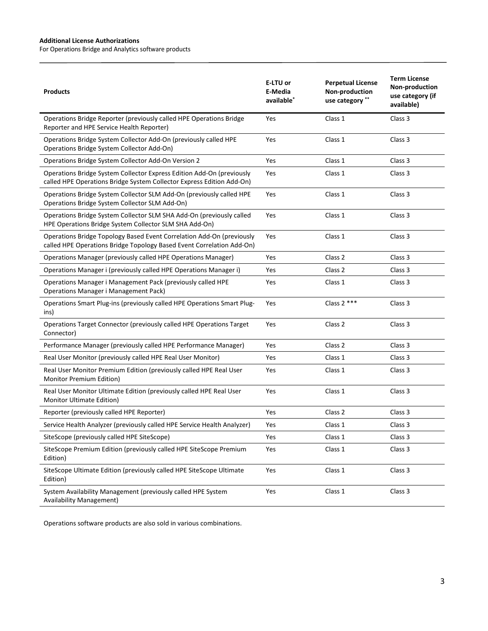For Operations Bridge and Analytics software products

| <b>Products</b>                                                                                                                                | E-LTU or<br>E-Media<br>available <sup>*</sup> | <b>Perpetual License</b><br>Non-production<br>use category ** | <b>Term License</b><br>Non-production<br>use category (if<br>available) |
|------------------------------------------------------------------------------------------------------------------------------------------------|-----------------------------------------------|---------------------------------------------------------------|-------------------------------------------------------------------------|
| Operations Bridge Reporter (previously called HPE Operations Bridge<br>Reporter and HPE Service Health Reporter)                               | Yes                                           | Class 1                                                       | Class <sub>3</sub>                                                      |
| Operations Bridge System Collector Add-On (previously called HPE<br>Operations Bridge System Collector Add-On)                                 | Yes                                           | Class 1                                                       | Class 3                                                                 |
| Operations Bridge System Collector Add-On Version 2                                                                                            | Yes                                           | Class 1                                                       | Class 3                                                                 |
| Operations Bridge System Collector Express Edition Add-On (previously<br>called HPE Operations Bridge System Collector Express Edition Add-On) | Yes                                           | Class 1                                                       | Class 3                                                                 |
| Operations Bridge System Collector SLM Add-On (previously called HPE<br>Operations Bridge System Collector SLM Add-On)                         | Yes                                           | Class 1                                                       | Class 3                                                                 |
| Operations Bridge System Collector SLM SHA Add-On (previously called<br>HPE Operations Bridge System Collector SLM SHA Add-On)                 | Yes                                           | Class 1                                                       | Class 3                                                                 |
| Operations Bridge Topology Based Event Correlation Add-On (previously<br>called HPE Operations Bridge Topology Based Event Correlation Add-On) | Yes                                           | Class 1                                                       | Class 3                                                                 |
| Operations Manager (previously called HPE Operations Manager)                                                                                  | Yes                                           | Class 2                                                       | Class 3                                                                 |
| Operations Manager i (previously called HPE Operations Manager i)                                                                              | Yes                                           | Class 2                                                       | Class 3                                                                 |
| Operations Manager i Management Pack (previously called HPE<br><b>Operations Manager i Management Pack)</b>                                    | Yes                                           | Class 1                                                       | Class 3                                                                 |
| Operations Smart Plug-ins (previously called HPE Operations Smart Plug-<br>ins)                                                                | Yes                                           | Class $2***$                                                  | Class 3                                                                 |
| Operations Target Connector (previously called HPE Operations Target<br>Connector)                                                             | Yes                                           | Class 2                                                       | Class 3                                                                 |
| Performance Manager (previously called HPE Performance Manager)                                                                                | Yes                                           | Class 2                                                       | Class 3                                                                 |
| Real User Monitor (previously called HPE Real User Monitor)                                                                                    | Yes                                           | Class 1                                                       | Class 3                                                                 |
| Real User Monitor Premium Edition (previously called HPE Real User<br>Monitor Premium Edition)                                                 | Yes                                           | Class 1                                                       | Class 3                                                                 |
| Real User Monitor Ultimate Edition (previously called HPE Real User<br><b>Monitor Ultimate Edition)</b>                                        | Yes                                           | Class 1                                                       | Class 3                                                                 |
| Reporter (previously called HPE Reporter)                                                                                                      | Yes                                           | Class 2                                                       | Class 3                                                                 |
| Service Health Analyzer (previously called HPE Service Health Analyzer)                                                                        | Yes                                           | Class 1                                                       | Class 3                                                                 |
| SiteScope (previously called HPE SiteScope)                                                                                                    | Yes                                           | Class 1                                                       | Class 3                                                                 |
| SiteScope Premium Edition (previously called HPE SiteScope Premium<br>Edition)                                                                 | Yes                                           | Class 1                                                       | Class 3                                                                 |
| SiteScope Ultimate Edition (previously called HPE SiteScope Ultimate<br>Edition)                                                               | Yes                                           | Class 1                                                       | Class 3                                                                 |
| System Availability Management (previously called HPE System<br><b>Availability Management)</b>                                                | Yes                                           | Class 1                                                       | Class 3                                                                 |

Operations software products are also sold in various combinations.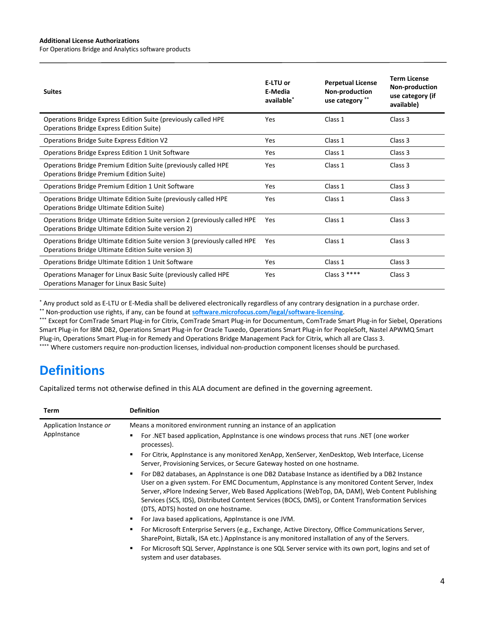For Operations Bridge and Analytics software products

| <b>Suites</b>                                                                                                                    | E-LTU or<br>E-Media<br>available <sup>*</sup> | <b>Perpetual License</b><br>Non-production<br>use category ** | <b>Term License</b><br>Non-production<br>use category (if<br>available) |
|----------------------------------------------------------------------------------------------------------------------------------|-----------------------------------------------|---------------------------------------------------------------|-------------------------------------------------------------------------|
| Operations Bridge Express Edition Suite (previously called HPE<br>Operations Bridge Express Edition Suite)                       | Yes                                           | Class 1                                                       | Class <sub>3</sub>                                                      |
| Operations Bridge Suite Express Edition V2                                                                                       | Yes                                           | Class 1                                                       | Class 3                                                                 |
| Operations Bridge Express Edition 1 Unit Software                                                                                | Yes                                           | Class 1                                                       | Class 3                                                                 |
| Operations Bridge Premium Edition Suite (previously called HPE<br>Operations Bridge Premium Edition Suite)                       | Yes                                           | Class 1                                                       | Class 3                                                                 |
| Operations Bridge Premium Edition 1 Unit Software                                                                                | Yes                                           | Class 1                                                       | Class 3                                                                 |
| Operations Bridge Ultimate Edition Suite (previously called HPE<br><b>Operations Bridge Ultimate Edition Suite)</b>              | Yes                                           | Class 1                                                       | Class 3                                                                 |
| Operations Bridge Ultimate Edition Suite version 2 (previously called HPE<br>Operations Bridge Ultimate Edition Suite version 2) | Yes                                           | Class 1                                                       | Class 3                                                                 |
| Operations Bridge Ultimate Edition Suite version 3 (previously called HPE<br>Operations Bridge Ultimate Edition Suite version 3) | Yes                                           | Class 1                                                       | Class 3                                                                 |
| Operations Bridge Ultimate Edition 1 Unit Software                                                                               | Yes                                           | Class 1                                                       | Class 3                                                                 |
| Operations Manager for Linux Basic Suite (previously called HPE<br>Operations Manager for Linux Basic Suite)                     | Yes                                           | Class $3***$                                                  | Class 3                                                                 |

\* Any product sold as E-LTU or E-Media shall be delivered electronically regardless of any contrary designation in a purchase order.

\*\* Non-production use rights, if any, can be found at **[software.microfocus.com/legal/software-licensing](https://software.microfocus.com/legal/software-licensing)**.

\*\*\* Except for ComTrade Smart Plug-in for Citrix, ComTrade Smart Plug-in for Documentum, ComTrade Smart Plug-in for Siebel, Operations Smart Plug-in for IBM DB2, Operations Smart Plug-in for Oracle Tuxedo, Operations Smart Plug-in for PeopleSoft, Nastel APWMQ Smart Plug-in, Operations Smart Plug-in for Remedy and Operations Bridge Management Pack for Citrix, which all are Class 3. \*\*\*\* Where customers require non-production licenses, individual non-production component licenses should be purchased.

# **Definitions**

Capitalized terms not otherwise defined in this ALA document are defined in the governing agreement.

| <b>Term</b>                            | <b>Definition</b>                                                                                                                                                                                                                                                                                                                                                                                                                                     |
|----------------------------------------|-------------------------------------------------------------------------------------------------------------------------------------------------------------------------------------------------------------------------------------------------------------------------------------------------------------------------------------------------------------------------------------------------------------------------------------------------------|
| Application Instance or<br>Applnstance | Means a monitored environment running an instance of an application                                                                                                                                                                                                                                                                                                                                                                                   |
|                                        | For .NET based application, Applnstance is one windows process that runs .NET (one worker<br>processes).                                                                                                                                                                                                                                                                                                                                              |
|                                        | For Citrix, Applnstance is any monitored XenApp, XenServer, XenDesktop, Web Interface, License<br>Server, Provisioning Services, or Secure Gateway hosted on one hostname.                                                                                                                                                                                                                                                                            |
|                                        | For DB2 databases, an Applnstance is one DB2 Database Instance as identified by a DB2 Instance<br>٠<br>User on a given system. For EMC Documentum, AppInstance is any monitored Content Server, Index<br>Server, xPlore Indexing Server, Web Based Applications (WebTop, DA, DAM), Web Content Publishing<br>Services (SCS, IDS), Distributed Content Services (BOCS, DMS), or Content Transformation Services<br>(DTS, ADTS) hosted on one hostname. |
|                                        | For Java based applications, Applnstance is one JVM.                                                                                                                                                                                                                                                                                                                                                                                                  |
|                                        | For Microsoft Enterprise Servers (e.g., Exchange, Active Directory, Office Communications Server,<br>SharePoint, Biztalk, ISA etc.) AppInstance is any monitored installation of any of the Servers.                                                                                                                                                                                                                                                  |
|                                        | For Microsoft SQL Server, Applnstance is one SQL Server service with its own port, logins and set of<br>٠<br>system and user databases.                                                                                                                                                                                                                                                                                                               |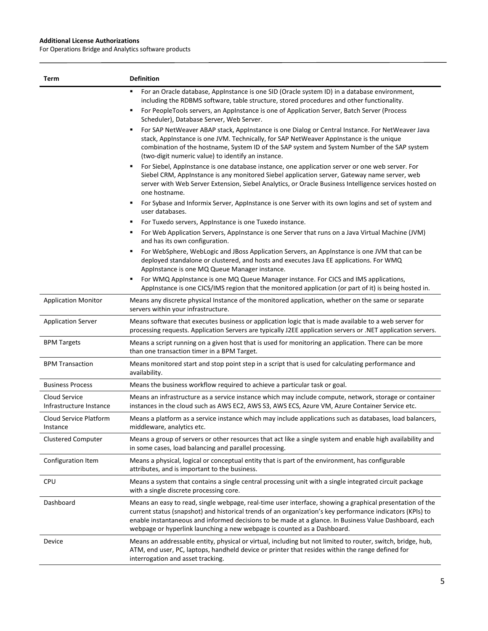| Term                                     | <b>Definition</b>                                                                                                                                                                                                                                                                                                                                                                                                                                                                                         |
|------------------------------------------|-----------------------------------------------------------------------------------------------------------------------------------------------------------------------------------------------------------------------------------------------------------------------------------------------------------------------------------------------------------------------------------------------------------------------------------------------------------------------------------------------------------|
|                                          | For an Oracle database, AppInstance is one SID (Oracle system ID) in a database environment,<br>including the RDBMS software, table structure, stored procedures and other functionality.<br>For PeopleTools servers, an AppInstance is one of Application Server, Batch Server (Process<br>п                                                                                                                                                                                                             |
|                                          | Scheduler), Database Server, Web Server.<br>For SAP NetWeaver ABAP stack, AppInstance is one Dialog or Central Instance. For NetWeaver Java<br>٠<br>stack, AppInstance is one JVM. Technically, for SAP NetWeaver AppInstance is the unique<br>combination of the hostname, System ID of the SAP system and System Number of the SAP system<br>(two-digit numeric value) to identify an instance.<br>For Siebel, AppInstance is one database instance, one application server or one web server. For<br>٠ |
|                                          | Siebel CRM, AppInstance is any monitored Siebel application server, Gateway name server, web<br>server with Web Server Extension, Siebel Analytics, or Oracle Business Intelligence services hosted on<br>one hostname.                                                                                                                                                                                                                                                                                   |
|                                          | For Sybase and Informix Server, AppInstance is one Server with its own logins and set of system and<br>user databases.                                                                                                                                                                                                                                                                                                                                                                                    |
|                                          | For Tuxedo servers, Appinstance is one Tuxedo instance.                                                                                                                                                                                                                                                                                                                                                                                                                                                   |
|                                          | For Web Application Servers, AppInstance is one Server that runs on a Java Virtual Machine (JVM)<br>and has its own configuration.                                                                                                                                                                                                                                                                                                                                                                        |
|                                          | For WebSphere, WebLogic and JBoss Application Servers, an AppInstance is one JVM that can be<br>deployed standalone or clustered, and hosts and executes Java EE applications. For WMQ<br>AppInstance is one MQ Queue Manager instance.                                                                                                                                                                                                                                                                   |
|                                          | For WMQ Applnstance is one MQ Queue Manager instance. For CICS and IMS applications,<br>AppInstance is one CICS/IMS region that the monitored application (or part of it) is being hosted in.                                                                                                                                                                                                                                                                                                             |
| <b>Application Monitor</b>               | Means any discrete physical Instance of the monitored application, whether on the same or separate<br>servers within your infrastructure.                                                                                                                                                                                                                                                                                                                                                                 |
| <b>Application Server</b>                | Means software that executes business or application logic that is made available to a web server for<br>processing requests. Application Servers are typically J2EE application servers or .NET application servers.                                                                                                                                                                                                                                                                                     |
| <b>BPM Targets</b>                       | Means a script running on a given host that is used for monitoring an application. There can be more<br>than one transaction timer in a BPM Target.                                                                                                                                                                                                                                                                                                                                                       |
| <b>BPM Transaction</b>                   | Means monitored start and stop point step in a script that is used for calculating performance and<br>availability.                                                                                                                                                                                                                                                                                                                                                                                       |
| <b>Business Process</b>                  | Means the business workflow required to achieve a particular task or goal.                                                                                                                                                                                                                                                                                                                                                                                                                                |
| Cloud Service<br>Infrastructure Instance | Means an infrastructure as a service instance which may include compute, network, storage or container<br>instances in the cloud such as AWS EC2, AWS S3, AWS ECS, Azure VM, Azure Container Service etc.                                                                                                                                                                                                                                                                                                 |
| Cloud Service Platform<br>Instance       | Means a platform as a service instance which may include applications such as databases, load balancers,<br>middleware, analytics etc.                                                                                                                                                                                                                                                                                                                                                                    |
| <b>Clustered Computer</b>                | Means a group of servers or other resources that act like a single system and enable high availability and<br>in some cases, load balancing and parallel processing.                                                                                                                                                                                                                                                                                                                                      |
| Configuration Item                       | Means a physical, logical or conceptual entity that is part of the environment, has configurable<br>attributes, and is important to the business.                                                                                                                                                                                                                                                                                                                                                         |
| <b>CPU</b>                               | Means a system that contains a single central processing unit with a single integrated circuit package<br>with a single discrete processing core.                                                                                                                                                                                                                                                                                                                                                         |
| Dashboard                                | Means an easy to read, single webpage, real-time user interface, showing a graphical presentation of the<br>current status (snapshot) and historical trends of an organization's key performance indicators (KPIs) to<br>enable instantaneous and informed decisions to be made at a glance. In Business Value Dashboard, each<br>webpage or hyperlink launching a new webpage is counted as a Dashboard.                                                                                                 |
| Device                                   | Means an addressable entity, physical or virtual, including but not limited to router, switch, bridge, hub,<br>ATM, end user, PC, laptops, handheld device or printer that resides within the range defined for<br>interrogation and asset tracking.                                                                                                                                                                                                                                                      |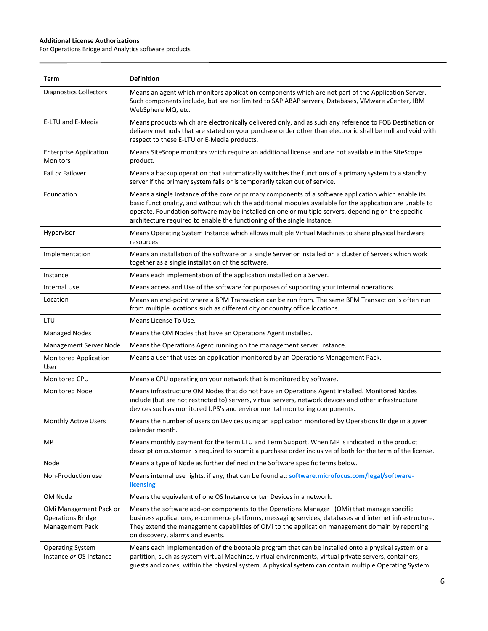| Term                                                                  | <b>Definition</b>                                                                                                                                                                                                                                                                                                                                                                                   |
|-----------------------------------------------------------------------|-----------------------------------------------------------------------------------------------------------------------------------------------------------------------------------------------------------------------------------------------------------------------------------------------------------------------------------------------------------------------------------------------------|
| <b>Diagnostics Collectors</b>                                         | Means an agent which monitors application components which are not part of the Application Server.<br>Such components include, but are not limited to SAP ABAP servers, Databases, VMware vCenter, IBM<br>WebSphere MQ, etc.                                                                                                                                                                        |
| E-LTU and E-Media                                                     | Means products which are electronically delivered only, and as such any reference to FOB Destination or<br>delivery methods that are stated on your purchase order other than electronic shall be null and void with<br>respect to these E-LTU or E-Media products.                                                                                                                                 |
| <b>Enterprise Application</b><br>Monitors                             | Means SiteScope monitors which require an additional license and are not available in the SiteScope<br>product.                                                                                                                                                                                                                                                                                     |
| Fail or Failover                                                      | Means a backup operation that automatically switches the functions of a primary system to a standby<br>server if the primary system fails or is temporarily taken out of service.                                                                                                                                                                                                                   |
| Foundation                                                            | Means a single Instance of the core or primary components of a software application which enable its<br>basic functionality, and without which the additional modules available for the application are unable to<br>operate. Foundation software may be installed on one or multiple servers, depending on the specific<br>architecture required to enable the functioning of the single Instance. |
| Hypervisor                                                            | Means Operating System Instance which allows multiple Virtual Machines to share physical hardware<br>resources                                                                                                                                                                                                                                                                                      |
| Implementation                                                        | Means an installation of the software on a single Server or installed on a cluster of Servers which work<br>together as a single installation of the software.                                                                                                                                                                                                                                      |
| Instance                                                              | Means each implementation of the application installed on a Server.                                                                                                                                                                                                                                                                                                                                 |
| Internal Use                                                          | Means access and Use of the software for purposes of supporting your internal operations.                                                                                                                                                                                                                                                                                                           |
| Location                                                              | Means an end-point where a BPM Transaction can be run from. The same BPM Transaction is often run<br>from multiple locations such as different city or country office locations.                                                                                                                                                                                                                    |
| LTU                                                                   | Means License To Use.                                                                                                                                                                                                                                                                                                                                                                               |
| <b>Managed Nodes</b>                                                  | Means the OM Nodes that have an Operations Agent installed.                                                                                                                                                                                                                                                                                                                                         |
| Management Server Node                                                | Means the Operations Agent running on the management server Instance.                                                                                                                                                                                                                                                                                                                               |
| <b>Monitored Application</b><br>User                                  | Means a user that uses an application monitored by an Operations Management Pack.                                                                                                                                                                                                                                                                                                                   |
| Monitored CPU                                                         | Means a CPU operating on your network that is monitored by software.                                                                                                                                                                                                                                                                                                                                |
| <b>Monitored Node</b>                                                 | Means infrastructure OM Nodes that do not have an Operations Agent installed. Monitored Nodes<br>include (but are not restricted to) servers, virtual servers, network devices and other infrastructure<br>devices such as monitored UPS's and environmental monitoring components.                                                                                                                 |
| <b>Monthly Active Users</b>                                           | Means the number of users on Devices using an application monitored by Operations Bridge in a given<br>calendar month.                                                                                                                                                                                                                                                                              |
| MP                                                                    | Means monthly payment for the term LTU and Term Support. When MP is indicated in the product<br>description customer is required to submit a purchase order inclusive of both for the term of the license.                                                                                                                                                                                          |
| Node                                                                  | Means a type of Node as further defined in the Software specific terms below.                                                                                                                                                                                                                                                                                                                       |
| Non-Production use                                                    | Means internal use rights, if any, that can be found at: software.microfocus.com/legal/software-<br>licensing                                                                                                                                                                                                                                                                                       |
| OM Node                                                               | Means the equivalent of one OS Instance or ten Devices in a network.                                                                                                                                                                                                                                                                                                                                |
| OMi Management Pack or<br><b>Operations Bridge</b><br>Management Pack | Means the software add-on components to the Operations Manager i (OMi) that manage specific<br>business applications, e-commerce platforms, messaging services, databases and internet infrastructure.<br>They extend the management capabilities of OMi to the application management domain by reporting<br>on discovery, alarms and events.                                                      |
| <b>Operating System</b><br>Instance or OS Instance                    | Means each implementation of the bootable program that can be installed onto a physical system or a<br>partition, such as system Virtual Machines, virtual environments, virtual private servers, containers,<br>guests and zones, within the physical system. A physical system can contain multiple Operating System                                                                              |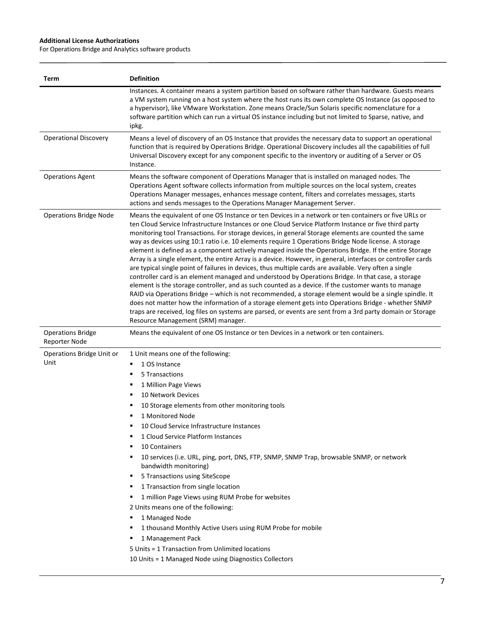| Term                                      | <b>Definition</b>                                                                                                                                                                                                                                                                                                                                                                                                                                                                                                                                                                                                                                                                                                                                                                                                                                                                                                                                                                                                                                                                                                                                                                                                                                                                                                                                    |
|-------------------------------------------|------------------------------------------------------------------------------------------------------------------------------------------------------------------------------------------------------------------------------------------------------------------------------------------------------------------------------------------------------------------------------------------------------------------------------------------------------------------------------------------------------------------------------------------------------------------------------------------------------------------------------------------------------------------------------------------------------------------------------------------------------------------------------------------------------------------------------------------------------------------------------------------------------------------------------------------------------------------------------------------------------------------------------------------------------------------------------------------------------------------------------------------------------------------------------------------------------------------------------------------------------------------------------------------------------------------------------------------------------|
|                                           | Instances. A container means a system partition based on software rather than hardware. Guests means<br>a VM system running on a host system where the host runs its own complete OS Instance (as opposed to<br>a hypervisor), like VMware Workstation. Zone means Oracle/Sun Solaris specific nomenclature for a<br>software partition which can run a virtual OS instance including but not limited to Sparse, native, and<br>ipkg.                                                                                                                                                                                                                                                                                                                                                                                                                                                                                                                                                                                                                                                                                                                                                                                                                                                                                                                |
| <b>Operational Discovery</b>              | Means a level of discovery of an OS Instance that provides the necessary data to support an operational<br>function that is required by Operations Bridge. Operational Discovery includes all the capabilities of full<br>Universal Discovery except for any component specific to the inventory or auditing of a Server or OS<br>Instance.                                                                                                                                                                                                                                                                                                                                                                                                                                                                                                                                                                                                                                                                                                                                                                                                                                                                                                                                                                                                          |
| <b>Operations Agent</b>                   | Means the software component of Operations Manager that is installed on managed nodes. The<br>Operations Agent software collects information from multiple sources on the local system, creates<br>Operations Manager messages, enhances message content, filters and correlates messages, starts<br>actions and sends messages to the Operations Manager Management Server.                                                                                                                                                                                                                                                                                                                                                                                                                                                                                                                                                                                                                                                                                                                                                                                                                                                                                                                                                                         |
| <b>Operations Bridge Node</b>             | Means the equivalent of one OS Instance or ten Devices in a network or ten containers or five URLs or<br>ten Cloud Service Infrastructure Instances or one Cloud Service Platform Instance or five third party<br>monitoring tool Transactions. For storage devices, in general Storage elements are counted the same<br>way as devices using 10:1 ratio i.e. 10 elements require 1 Operations Bridge Node license. A storage<br>element is defined as a component actively managed inside the Operations Bridge. If the entire Storage<br>Array is a single element, the entire Array is a device. However, in general, interfaces or controller cards<br>are typical single point of failures in devices, thus multiple cards are available. Very often a single<br>controller card is an element managed and understood by Operations Bridge. In that case, a storage<br>element is the storage controller, and as such counted as a device. If the customer wants to manage<br>RAID via Operations Bridge - which is not recommended, a storage element would be a single spindle. It<br>does not matter how the information of a storage element gets into Operations Bridge - whether SNMP<br>traps are received, log files on systems are parsed, or events are sent from a 3rd party domain or Storage<br>Resource Management (SRM) manager. |
| <b>Operations Bridge</b><br>Reporter Node | Means the equivalent of one OS Instance or ten Devices in a network or ten containers.                                                                                                                                                                                                                                                                                                                                                                                                                                                                                                                                                                                                                                                                                                                                                                                                                                                                                                                                                                                                                                                                                                                                                                                                                                                               |
| Operations Bridge Unit or<br>Unit         | 1 Unit means one of the following:<br>1 OS Instance<br>٠<br>5 Transactions<br>1 Million Page Views<br>٠<br>10 Network Devices<br>٠<br>10 Storage elements from other monitoring tools<br>1 Monitored Node<br>10 Cloud Service Infrastructure Instances<br>1 Cloud Service Platform Instances<br>10 Containers<br>٠<br>10 services (i.e. URL, ping, port, DNS, FTP, SNMP, SNMP Trap, browsable SNMP, or network<br>bandwidth monitoring)<br>5 Transactions using SiteScope<br>٠<br>1 Transaction from single location<br>٠<br>1 million Page Views using RUM Probe for websites<br>٠<br>2 Units means one of the following:<br>1 Managed Node<br>1 thousand Monthly Active Users using RUM Probe for mobile<br>1 Management Pack<br>5 Units = 1 Transaction from Unlimited locations<br>10 Units = 1 Managed Node using Diagnostics Collectors                                                                                                                                                                                                                                                                                                                                                                                                                                                                                                        |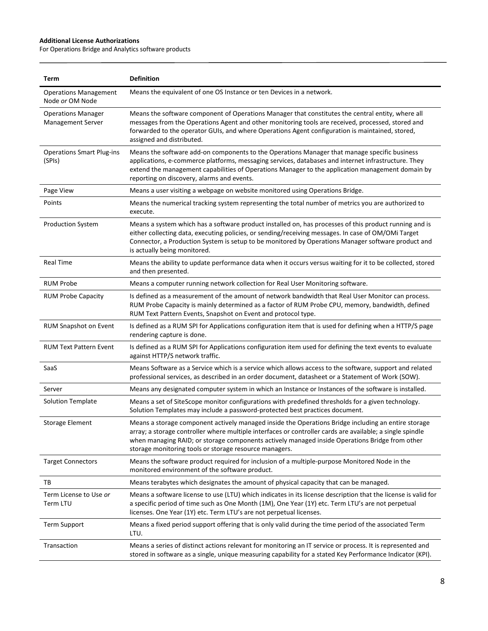| Term                                                  | <b>Definition</b>                                                                                                                                                                                                                                                                                                                                                            |
|-------------------------------------------------------|------------------------------------------------------------------------------------------------------------------------------------------------------------------------------------------------------------------------------------------------------------------------------------------------------------------------------------------------------------------------------|
| <b>Operations Management</b><br>Node or OM Node       | Means the equivalent of one OS Instance or ten Devices in a network.                                                                                                                                                                                                                                                                                                         |
| <b>Operations Manager</b><br><b>Management Server</b> | Means the software component of Operations Manager that constitutes the central entity, where all<br>messages from the Operations Agent and other monitoring tools are received, processed, stored and<br>forwarded to the operator GUIs, and where Operations Agent configuration is maintained, stored,<br>assigned and distributed.                                       |
| <b>Operations Smart Plug-ins</b><br>(SPIs)            | Means the software add-on components to the Operations Manager that manage specific business<br>applications, e-commerce platforms, messaging services, databases and internet infrastructure. They<br>extend the management capabilities of Operations Manager to the application management domain by<br>reporting on discovery, alarms and events.                        |
| Page View                                             | Means a user visiting a webpage on website monitored using Operations Bridge.                                                                                                                                                                                                                                                                                                |
| Points                                                | Means the numerical tracking system representing the total number of metrics you are authorized to<br>execute.                                                                                                                                                                                                                                                               |
| <b>Production System</b>                              | Means a system which has a software product installed on, has processes of this product running and is<br>either collecting data, executing policies, or sending/receiving messages. In case of OM/OMi Target<br>Connector, a Production System is setup to be monitored by Operations Manager software product and<br>is actually being monitored.                          |
| <b>Real Time</b>                                      | Means the ability to update performance data when it occurs versus waiting for it to be collected, stored<br>and then presented.                                                                                                                                                                                                                                             |
| <b>RUM Probe</b>                                      | Means a computer running network collection for Real User Monitoring software.                                                                                                                                                                                                                                                                                               |
| <b>RUM Probe Capacity</b>                             | Is defined as a measurement of the amount of network bandwidth that Real User Monitor can process.<br>RUM Probe Capacity is mainly determined as a factor of RUM Probe CPU, memory, bandwidth, defined<br>RUM Text Pattern Events, Snapshot on Event and protocol type.                                                                                                      |
| RUM Snapshot on Event                                 | Is defined as a RUM SPI for Applications configuration item that is used for defining when a HTTP/S page<br>rendering capture is done.                                                                                                                                                                                                                                       |
| <b>RUM Text Pattern Event</b>                         | Is defined as a RUM SPI for Applications configuration item used for defining the text events to evaluate<br>against HTTP/S network traffic.                                                                                                                                                                                                                                 |
| SaaS                                                  | Means Software as a Service which is a service which allows access to the software, support and related<br>professional services, as described in an order document, datasheet or a Statement of Work (SOW).                                                                                                                                                                 |
| Server                                                | Means any designated computer system in which an Instance or Instances of the software is installed.                                                                                                                                                                                                                                                                         |
| <b>Solution Template</b>                              | Means a set of SiteScope monitor configurations with predefined thresholds for a given technology.<br>Solution Templates may include a password-protected best practices document.                                                                                                                                                                                           |
| <b>Storage Element</b>                                | Means a storage component actively managed inside the Operations Bridge including an entire storage<br>array; a storage controller where multiple interfaces or controller cards are available; a single spindle<br>when managing RAID; or storage components actively managed inside Operations Bridge from other<br>storage monitoring tools or storage resource managers. |
| <b>Target Connectors</b>                              | Means the software product required for inclusion of a multiple-purpose Monitored Node in the<br>monitored environment of the software product.                                                                                                                                                                                                                              |
| TВ                                                    | Means terabytes which designates the amount of physical capacity that can be managed.                                                                                                                                                                                                                                                                                        |
| Term License to Use or<br>Term LTU                    | Means a software license to use (LTU) which indicates in its license description that the license is valid for<br>a specific period of time such as One Month (1M), One Year (1Y) etc. Term LTU's are not perpetual<br>licenses. One Year (1Y) etc. Term LTU's are not perpetual licenses.                                                                                   |
| <b>Term Support</b>                                   | Means a fixed period support offering that is only valid during the time period of the associated Term<br>LTU.                                                                                                                                                                                                                                                               |
| Transaction                                           | Means a series of distinct actions relevant for monitoring an IT service or process. It is represented and<br>stored in software as a single, unique measuring capability for a stated Key Performance Indicator (KPI).                                                                                                                                                      |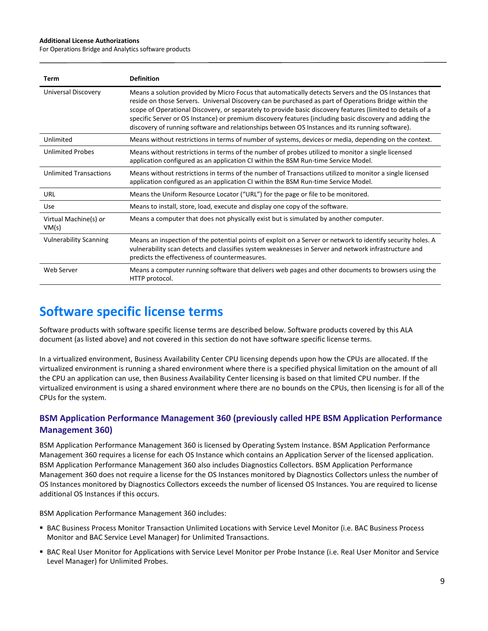For Operations Bridge and Analytics software products

| Term                           | <b>Definition</b>                                                                                                                                                                                                                                                                                                                                                                                                                                                                                                                          |
|--------------------------------|--------------------------------------------------------------------------------------------------------------------------------------------------------------------------------------------------------------------------------------------------------------------------------------------------------------------------------------------------------------------------------------------------------------------------------------------------------------------------------------------------------------------------------------------|
| Universal Discovery            | Means a solution provided by Micro Focus that automatically detects Servers and the OS Instances that<br>reside on those Servers. Universal Discovery can be purchased as part of Operations Bridge within the<br>scope of Operational Discovery, or separately to provide basic discovery features (limited to details of a<br>specific Server or OS Instance) or premium discovery features (including basic discovery and adding the<br>discovery of running software and relationships between OS Instances and its running software). |
| Unlimited                      | Means without restrictions in terms of number of systems, devices or media, depending on the context.                                                                                                                                                                                                                                                                                                                                                                                                                                      |
| <b>Unlimited Probes</b>        | Means without restrictions in terms of the number of probes utilized to monitor a single licensed<br>application configured as an application CI within the BSM Run-time Service Model.                                                                                                                                                                                                                                                                                                                                                    |
| <b>Unlimited Transactions</b>  | Means without restrictions in terms of the number of Transactions utilized to monitor a single licensed<br>application configured as an application CI within the BSM Run-time Service Model.                                                                                                                                                                                                                                                                                                                                              |
| URL                            | Means the Uniform Resource Locator ("URL") for the page or file to be monitored.                                                                                                                                                                                                                                                                                                                                                                                                                                                           |
| Use                            | Means to install, store, load, execute and display one copy of the software.                                                                                                                                                                                                                                                                                                                                                                                                                                                               |
| Virtual Machine(s) or<br>VM(s) | Means a computer that does not physically exist but is simulated by another computer.                                                                                                                                                                                                                                                                                                                                                                                                                                                      |
| <b>Vulnerability Scanning</b>  | Means an inspection of the potential points of exploit on a Server or network to identify security holes. A<br>vulnerability scan detects and classifies system weaknesses in Server and network infrastructure and<br>predicts the effectiveness of countermeasures.                                                                                                                                                                                                                                                                      |
| Web Server                     | Means a computer running software that delivers web pages and other documents to browsers using the<br>HTTP protocol.                                                                                                                                                                                                                                                                                                                                                                                                                      |

## **Software specific license terms**

Software products with software specific license terms are described below. Software products covered by this ALA document (as listed above) and not covered in this section do not have software specific license terms.

In a virtualized environment, Business Availability Center CPU licensing depends upon how the CPUs are allocated. If the virtualized environment is running a shared environment where there is a specified physical limitation on the amount of all the CPU an application can use, then Business Availability Center licensing is based on that limited CPU number. If the virtualized environment is using a shared environment where there are no bounds on the CPUs, then licensing is for all of the CPUs for the system.

## **BSM Application Performance Management 360 (previously called HPE BSM Application Performance Management 360)**

BSM Application Performance Management 360 is licensed by Operating System Instance. BSM Application Performance Management 360 requires a license for each OS Instance which contains an Application Server of the licensed application. BSM Application Performance Management 360 also includes Diagnostics Collectors. BSM Application Performance Management 360 does not require a license for the OS Instances monitored by Diagnostics Collectors unless the number of OS Instances monitored by Diagnostics Collectors exceeds the number of licensed OS Instances. You are required to license additional OS Instances if this occurs.

BSM Application Performance Management 360 includes:

- BAC Business Process Monitor Transaction Unlimited Locations with Service Level Monitor (i.e. BAC Business Process Monitor and BAC Service Level Manager) for Unlimited Transactions.
- BAC Real User Monitor for Applications with Service Level Monitor per Probe Instance (i.e. Real User Monitor and Service Level Manager) for Unlimited Probes.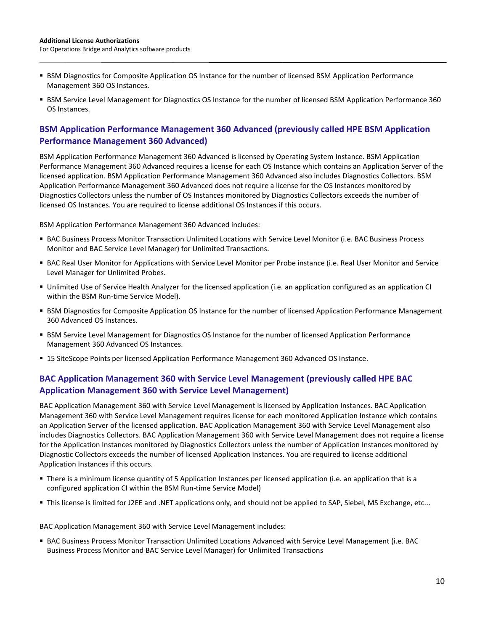- **BSM Diagnostics for Composite Application OS Instance for the number of licensed BSM Application Performance** Management 360 OS Instances.
- **BSM Service Level Management for Diagnostics OS Instance for the number of licensed BSM Application Performance 360** OS Instances.

#### **BSM Application Performance Management 360 Advanced (previously called HPE BSM Application Performance Management 360 Advanced)**

BSM Application Performance Management 360 Advanced is licensed by Operating System Instance. BSM Application Performance Management 360 Advanced requires a license for each OS Instance which contains an Application Server of the licensed application. BSM Application Performance Management 360 Advanced also includes Diagnostics Collectors. BSM Application Performance Management 360 Advanced does not require a license for the OS Instances monitored by Diagnostics Collectors unless the number of OS Instances monitored by Diagnostics Collectors exceeds the number of licensed OS Instances. You are required to license additional OS Instances if this occurs.

BSM Application Performance Management 360 Advanced includes:

- BAC Business Process Monitor Transaction Unlimited Locations with Service Level Monitor (i.e. BAC Business Process Monitor and BAC Service Level Manager) for Unlimited Transactions.
- BAC Real User Monitor for Applications with Service Level Monitor per Probe instance (i.e. Real User Monitor and Service Level Manager for Unlimited Probes.
- Unlimited Use of Service Health Analyzer for the licensed application (i.e. an application configured as an application CI within the BSM Run-time Service Model).
- **BSM Diagnostics for Composite Application OS Instance for the number of licensed Application Performance Management** 360 Advanced OS Instances.
- **BSM Service Level Management for Diagnostics OS Instance for the number of licensed Application Performance** Management 360 Advanced OS Instances.
- **15 SiteScope Points per licensed Application Performance Management 360 Advanced OS Instance.**

## **BAC Application Management 360 with Service Level Management (previously called HPE BAC Application Management 360 with Service Level Management)**

BAC Application Management 360 with Service Level Management is licensed by Application Instances. BAC Application Management 360 with Service Level Management requires license for each monitored Application Instance which contains an Application Server of the licensed application. BAC Application Management 360 with Service Level Management also includes Diagnostics Collectors. BAC Application Management 360 with Service Level Management does not require a license for the Application Instances monitored by Diagnostics Collectors unless the number of Application Instances monitored by Diagnostic Collectors exceeds the number of licensed Application Instances. You are required to license additional Application Instances if this occurs.

- There is a minimum license quantity of 5 Application Instances per licensed application (i.e. an application that is a configured application CI within the BSM Run-time Service Model)
- This license is limited for J2EE and .NET applications only, and should not be applied to SAP, Siebel, MS Exchange, etc...

BAC Application Management 360 with Service Level Management includes:

 BAC Business Process Monitor Transaction Unlimited Locations Advanced with Service Level Management (i.e. BAC Business Process Monitor and BAC Service Level Manager) for Unlimited Transactions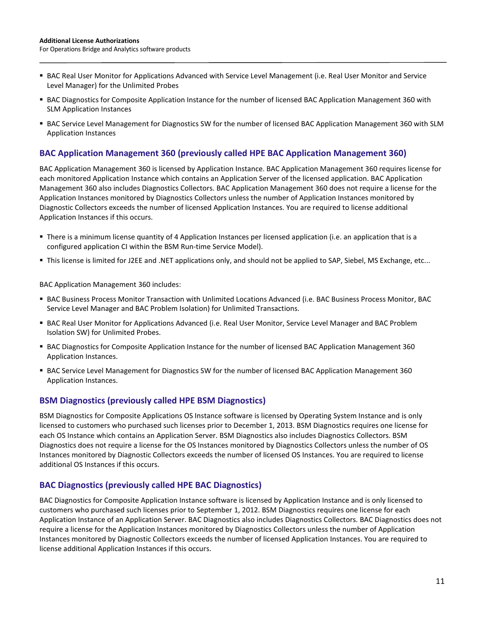- BAC Real User Monitor for Applications Advanced with Service Level Management (i.e. Real User Monitor and Service Level Manager) for the Unlimited Probes
- BAC Diagnostics for Composite Application Instance for the number of licensed BAC Application Management 360 with SLM Application Instances
- BAC Service Level Management for Diagnostics SW for the number of licensed BAC Application Management 360 with SLM Application Instances

#### **BAC Application Management 360 (previously called HPE BAC Application Management 360)**

BAC Application Management 360 is licensed by Application Instance. BAC Application Management 360 requires license for each monitored Application Instance which contains an Application Server of the licensed application. BAC Application Management 360 also includes Diagnostics Collectors. BAC Application Management 360 does not require a license for the Application Instances monitored by Diagnostics Collectors unless the number of Application Instances monitored by Diagnostic Collectors exceeds the number of licensed Application Instances. You are required to license additional Application Instances if this occurs.

- There is a minimum license quantity of 4 Application Instances per licensed application (i.e. an application that is a configured application CI within the BSM Run-time Service Model).
- This license is limited for J2EE and .NET applications only, and should not be applied to SAP, Siebel, MS Exchange, etc...

BAC Application Management 360 includes:

- BAC Business Process Monitor Transaction with Unlimited Locations Advanced (i.e. BAC Business Process Monitor, BAC Service Level Manager and BAC Problem Isolation) for Unlimited Transactions.
- BAC Real User Monitor for Applications Advanced (i.e. Real User Monitor, Service Level Manager and BAC Problem Isolation SW) for Unlimited Probes.
- BAC Diagnostics for Composite Application Instance for the number of licensed BAC Application Management 360 Application Instances.
- BAC Service Level Management for Diagnostics SW for the number of licensed BAC Application Management 360 Application Instances.

#### **BSM Diagnostics (previously called HPE BSM Diagnostics)**

BSM Diagnostics for Composite Applications OS Instance software is licensed by Operating System Instance and is only licensed to customers who purchased such licenses prior to December 1, 2013. BSM Diagnostics requires one license for each OS Instance which contains an Application Server. BSM Diagnostics also includes Diagnostics Collectors. BSM Diagnostics does not require a license for the OS Instances monitored by Diagnostics Collectors unless the number of OS Instances monitored by Diagnostic Collectors exceeds the number of licensed OS Instances. You are required to license additional OS Instances if this occurs.

#### **BAC Diagnostics (previously called HPE BAC Diagnostics)**

BAC Diagnostics for Composite Application Instance software is licensed by Application Instance and is only licensed to customers who purchased such licenses prior to September 1, 2012. BSM Diagnostics requires one license for each Application Instance of an Application Server. BAC Diagnostics also includes Diagnostics Collectors. BAC Diagnostics does not require a license for the Application Instances monitored by Diagnostics Collectors unless the number of Application Instances monitored by Diagnostic Collectors exceeds the number of licensed Application Instances. You are required to license additional Application Instances if this occurs.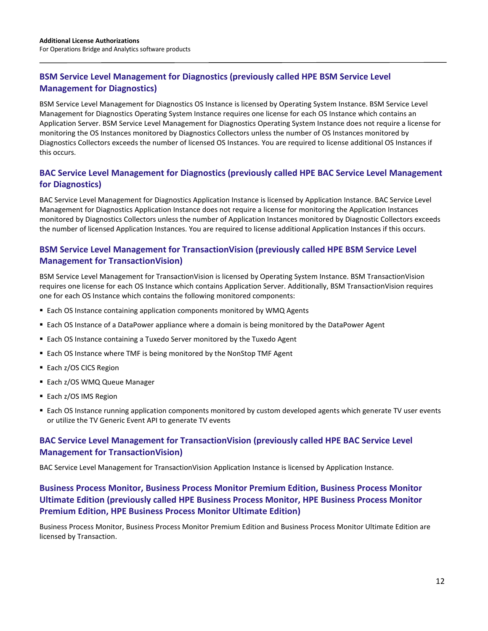## **BSM Service Level Management for Diagnostics (previously called HPE BSM Service Level Management for Diagnostics)**

BSM Service Level Management for Diagnostics OS Instance is licensed by Operating System Instance. BSM Service Level Management for Diagnostics Operating System Instance requires one license for each OS Instance which contains an Application Server. BSM Service Level Management for Diagnostics Operating System Instance does not require a license for monitoring the OS Instances monitored by Diagnostics Collectors unless the number of OS Instances monitored by Diagnostics Collectors exceeds the number of licensed OS Instances. You are required to license additional OS Instances if this occurs.

## **BAC Service Level Management for Diagnostics (previously called HPE BAC Service Level Management for Diagnostics)**

BAC Service Level Management for Diagnostics Application Instance is licensed by Application Instance. BAC Service Level Management for Diagnostics Application Instance does not require a license for monitoring the Application Instances monitored by Diagnostics Collectors unless the number of Application Instances monitored by Diagnostic Collectors exceeds the number of licensed Application Instances. You are required to license additional Application Instances if this occurs.

## **BSM Service Level Management for TransactionVision (previously called HPE BSM Service Level Management for TransactionVision)**

BSM Service Level Management for TransactionVision is licensed by Operating System Instance. BSM TransactionVision requires one license for each OS Instance which contains Application Server. Additionally, BSM TransactionVision requires one for each OS Instance which contains the following monitored components:

- Each OS Instance containing application components monitored by WMQ Agents
- Each OS Instance of a DataPower appliance where a domain is being monitored by the DataPower Agent
- Each OS Instance containing a Tuxedo Server monitored by the Tuxedo Agent
- Each OS Instance where TMF is being monitored by the NonStop TMF Agent
- Each z/OS CICS Region
- Each z/OS WMQ Queue Manager
- Each z/OS IMS Region
- Each OS Instance running application components monitored by custom developed agents which generate TV user events or utilize the TV Generic Event API to generate TV events

## **BAC Service Level Management for TransactionVision (previously called HPE BAC Service Level Management for TransactionVision)**

BAC Service Level Management for TransactionVision Application Instance is licensed by Application Instance.

## **Business Process Monitor, Business Process Monitor Premium Edition, Business Process Monitor Ultimate Edition (previously called HPE Business Process Monitor, HPE Business Process Monitor Premium Edition, HPE Business Process Monitor Ultimate Edition)**

Business Process Monitor, Business Process Monitor Premium Edition and Business Process Monitor Ultimate Edition are licensed by Transaction.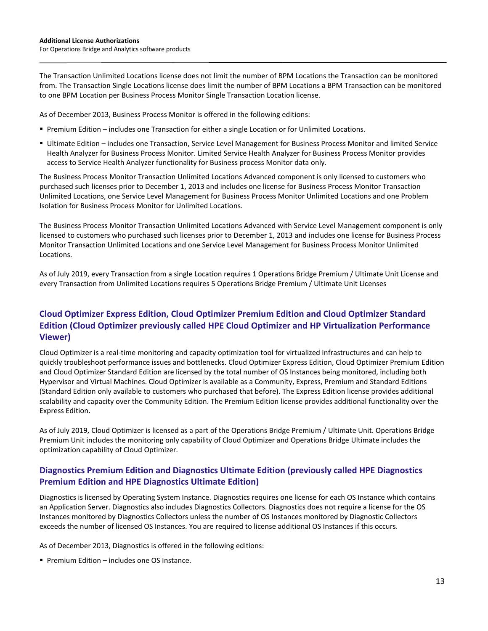The Transaction Unlimited Locations license does not limit the number of BPM Locations the Transaction can be monitored from. The Transaction Single Locations license does limit the number of BPM Locations a BPM Transaction can be monitored to one BPM Location per Business Process Monitor Single Transaction Location license.

As of December 2013, Business Process Monitor is offered in the following editions:

- **Premium Edition includes one Transaction for either a single Location or for Unlimited Locations.**
- Ultimate Edition includes one Transaction, Service Level Management for Business Process Monitor and limited Service Health Analyzer for Business Process Monitor. Limited Service Health Analyzer for Business Process Monitor provides access to Service Health Analyzer functionality for Business process Monitor data only.

The Business Process Monitor Transaction Unlimited Locations Advanced component is only licensed to customers who purchased such licenses prior to December 1, 2013 and includes one license for Business Process Monitor Transaction Unlimited Locations, one Service Level Management for Business Process Monitor Unlimited Locations and one Problem Isolation for Business Process Monitor for Unlimited Locations.

The Business Process Monitor Transaction Unlimited Locations Advanced with Service Level Management component is only licensed to customers who purchased such licenses prior to December 1, 2013 and includes one license for Business Process Monitor Transaction Unlimited Locations and one Service Level Management for Business Process Monitor Unlimited Locations.

As of July 2019, every Transaction from a single Location requires 1 Operations Bridge Premium / Ultimate Unit License and every Transaction from Unlimited Locations requires 5 Operations Bridge Premium / Ultimate Unit Licenses

## **Cloud Optimizer Express Edition, Cloud Optimizer Premium Edition and Cloud Optimizer Standard Edition (Cloud Optimizer previously called HPE Cloud Optimizer and HP Virtualization Performance Viewer)**

Cloud Optimizer is a real-time monitoring and capacity optimization tool for virtualized infrastructures and can help to quickly troubleshoot performance issues and bottlenecks. Cloud Optimizer Express Edition, Cloud Optimizer Premium Edition and Cloud Optimizer Standard Edition are licensed by the total number of OS Instances being monitored, including both Hypervisor and Virtual Machines. Cloud Optimizer is available as a Community, Express, Premium and Standard Editions (Standard Edition only available to customers who purchased that before). The Express Edition license provides additional scalability and capacity over the Community Edition. The Premium Edition license provides additional functionality over the Express Edition.

As of July 2019, Cloud Optimizer is licensed as a part of the Operations Bridge Premium / Ultimate Unit. Operations Bridge Premium Unit includes the monitoring only capability of Cloud Optimizer and Operations Bridge Ultimate includes the optimization capability of Cloud Optimizer.

## **Diagnostics Premium Edition and Diagnostics Ultimate Edition (previously called HPE Diagnostics Premium Edition and HPE Diagnostics Ultimate Edition)**

Diagnostics is licensed by Operating System Instance. Diagnostics requires one license for each OS Instance which contains an Application Server. Diagnostics also includes Diagnostics Collectors. Diagnostics does not require a license for the OS Instances monitored by Diagnostics Collectors unless the number of OS Instances monitored by Diagnostic Collectors exceeds the number of licensed OS Instances. You are required to license additional OS Instances if this occurs.

As of December 2013, Diagnostics is offered in the following editions:

**Premium Edition – includes one OS Instance.**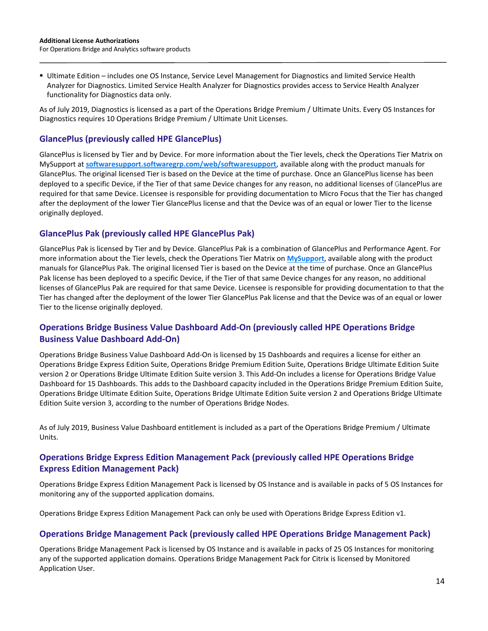Ultimate Edition – includes one OS Instance, Service Level Management for Diagnostics and limited Service Health Analyzer for Diagnostics. Limited Service Health Analyzer for Diagnostics provides access to Service Health Analyzer functionality for Diagnostics data only.

As of July 2019, Diagnostics is licensed as a part of the Operations Bridge Premium / Ultimate Units. Every OS Instances for Diagnostics requires 10 Operations Bridge Premium / Ultimate Unit Licenses.

#### **GlancePlus (previously called HPE GlancePlus)**

GlancePlus is licensed by Tier and by Device. For more information about the Tier levels, check the Operations Tier Matrix on MySupport at **[softwaresupport.softwaregrp.com/web/softwaresupport](https://softwaresupport.softwaregrp.com/web/softwaresupport/)**, available along with the product manuals for GlancePlus. The original licensed Tier is based on the Device at the time of purchase. Once an GlancePlus license has been deployed to a specific Device, if the Tier of that same Device changes for any reason, no additional licenses of GlancePlus are required for that same Device. Licensee is responsible for providing documentation to Micro Focus that the Tier has changed after the deployment of the lower Tier GlancePlus license and that the Device was of an equal or lower Tier to the license originally deployed.

#### **GlancePlus Pak (previously called HPE GlancePlus Pak)**

GlancePlus Pak is licensed by Tier and by Device. GlancePlus Pak is a combination of GlancePlus and Performance Agent. For more information about the Tier levels, check the Operations Tier Matrix on **[MySupport](https://microfocusinternational.sharepoint.com/teams/hpss_prodlic/ALA%20source%20files/FY19/Jul2019_revisions/softwaresupport.softwaregrp.com/web/softwaresupport)**, available along with the product manuals for GlancePlus Pak. The original licensed Tier is based on the Device at the time of purchase. Once an GlancePlus Pak license has been deployed to a specific Device, if the Tier of that same Device changes for any reason, no additional licenses of GlancePlus Pak are required for that same Device. Licensee is responsible for providing documentation to that the Tier has changed after the deployment of the lower Tier GlancePlus Pak license and that the Device was of an equal or lower Tier to the license originally deployed.

## **Operations Bridge Business Value Dashboard Add-On (previously called HPE Operations Bridge Business Value Dashboard Add-On)**

Operations Bridge Business Value Dashboard Add-On is licensed by 15 Dashboards and requires a license for either an Operations Bridge Express Edition Suite, Operations Bridge Premium Edition Suite, Operations Bridge Ultimate Edition Suite version 2 or Operations Bridge Ultimate Edition Suite version 3. This Add-On includes a license for Operations Bridge Value Dashboard for 15 Dashboards. This adds to the Dashboard capacity included in the Operations Bridge Premium Edition Suite, Operations Bridge Ultimate Edition Suite, Operations Bridge Ultimate Edition Suite version 2 and Operations Bridge Ultimate Edition Suite version 3, according to the number of Operations Bridge Nodes.

As of July 2019, Business Value Dashboard entitlement is included as a part of the Operations Bridge Premium / Ultimate Units.

## **Operations Bridge Express Edition Management Pack (previously called HPE Operations Bridge Express Edition Management Pack)**

Operations Bridge Express Edition Management Pack is licensed by OS Instance and is available in packs of 5 OS Instances for monitoring any of the supported application domains.

Operations Bridge Express Edition Management Pack can only be used with Operations Bridge Express Edition v1.

#### **Operations Bridge Management Pack (previously called HPE Operations Bridge Management Pack)**

Operations Bridge Management Pack is licensed by OS Instance and is available in packs of 25 OS Instances for monitoring any of the supported application domains. Operations Bridge Management Pack for Citrix is licensed by Monitored Application User.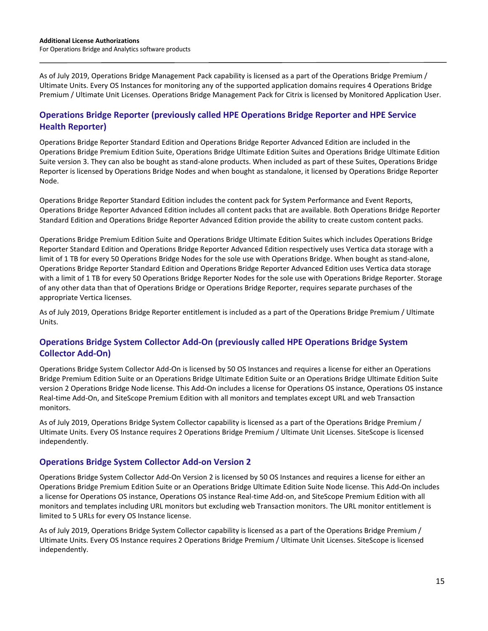As of July 2019, Operations Bridge Management Pack capability is licensed as a part of the Operations Bridge Premium / Ultimate Units. Every OS Instances for monitoring any of the supported application domains requires 4 Operations Bridge Premium / Ultimate Unit Licenses. Operations Bridge Management Pack for Citrix is licensed by Monitored Application User.

#### **Operations Bridge Reporter (previously called HPE Operations Bridge Reporter and HPE Service Health Reporter)**

Operations Bridge Reporter Standard Edition and Operations Bridge Reporter Advanced Edition are included in the Operations Bridge Premium Edition Suite, Operations Bridge Ultimate Edition Suites and Operations Bridge Ultimate Edition Suite version 3. They can also be bought as stand-alone products. When included as part of these Suites, Operations Bridge Reporter is licensed by Operations Bridge Nodes and when bought as standalone, it licensed by Operations Bridge Reporter Node.

Operations Bridge Reporter Standard Edition includes the content pack for System Performance and Event Reports, Operations Bridge Reporter Advanced Edition includes all content packs that are available. Both Operations Bridge Reporter Standard Edition and Operations Bridge Reporter Advanced Edition provide the ability to create custom content packs.

Operations Bridge Premium Edition Suite and Operations Bridge Ultimate Edition Suites which includes Operations Bridge Reporter Standard Edition and Operations Bridge Reporter Advanced Edition respectively uses Vertica data storage with a limit of 1 TB for every 50 Operations Bridge Nodes for the sole use with Operations Bridge. When bought as stand-alone, Operations Bridge Reporter Standard Edition and Operations Bridge Reporter Advanced Edition uses Vertica data storage with a limit of 1 TB for every 50 Operations Bridge Reporter Nodes for the sole use with Operations Bridge Reporter. Storage of any other data than that of Operations Bridge or Operations Bridge Reporter, requires separate purchases of the appropriate Vertica licenses.

As of July 2019, Operations Bridge Reporter entitlement is included as a part of the Operations Bridge Premium / Ultimate Units.

## **Operations Bridge System Collector Add-On (previously called HPE Operations Bridge System Collector Add-On)**

Operations Bridge System Collector Add-On is licensed by 50 OS Instances and requires a license for either an Operations Bridge Premium Edition Suite or an Operations Bridge Ultimate Edition Suite or an Operations Bridge Ultimate Edition Suite version 2 Operations Bridge Node license. This Add-On includes a license for Operations OS instance, Operations OS instance Real-time Add-On, and SiteScope Premium Edition with all monitors and templates except URL and web Transaction monitors.

As of July 2019, Operations Bridge System Collector capability is licensed as a part of the Operations Bridge Premium / Ultimate Units. Every OS Instance requires 2 Operations Bridge Premium / Ultimate Unit Licenses. SiteScope is licensed independently.

#### **Operations Bridge System Collector Add-on Version 2**

Operations Bridge System Collector Add-On Version 2 is licensed by 50 OS Instances and requires a license for either an Operations Bridge Premium Edition Suite or an Operations Bridge Ultimate Edition Suite Node license. This Add-On includes a license for Operations OS instance, Operations OS instance Real-time Add-on, and SiteScope Premium Edition with all monitors and templates including URL monitors but excluding web Transaction monitors. The URL monitor entitlement is limited to 5 URLs for every OS Instance license.

As of July 2019, Operations Bridge System Collector capability is licensed as a part of the Operations Bridge Premium / Ultimate Units. Every OS Instance requires 2 Operations Bridge Premium / Ultimate Unit Licenses. SiteScope is licensed independently.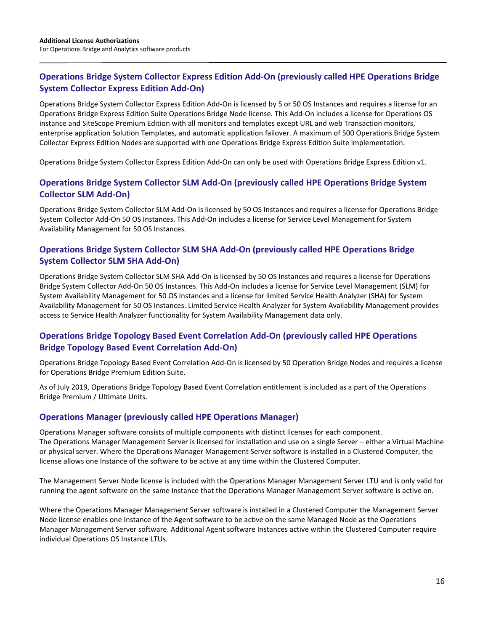## **Operations Bridge System Collector Express Edition Add-On (previously called HPE Operations Bridge System Collector Express Edition Add-On)**

Operations Bridge System Collector Express Edition Add-On is licensed by 5 or 50 OS Instances and requires a license for an Operations Bridge Express Edition Suite Operations Bridge Node license. This Add-On includes a license for Operations OS instance and SiteScope Premium Edition with all monitors and templates except URL and web Transaction monitors, enterprise application Solution Templates, and automatic application failover. A maximum of 500 Operations Bridge System Collector Express Edition Nodes are supported with one Operations Bridge Express Edition Suite implementation.

Operations Bridge System Collector Express Edition Add-On can only be used with Operations Bridge Express Edition v1.

## **Operations Bridge System Collector SLM Add-On (previously called HPE Operations Bridge System Collector SLM Add-On)**

Operations Bridge System Collector SLM Add-On is licensed by 50 OS Instances and requires a license for Operations Bridge System Collector Add-On 50 OS Instances. This Add-On includes a license for Service Level Management for System Availability Management for 50 OS Instances.

#### **Operations Bridge System Collector SLM SHA Add-On (previously called HPE Operations Bridge System Collector SLM SHA Add-On)**

Operations Bridge System Collector SLM SHA Add-On is licensed by 50 OS Instances and requires a license for Operations Bridge System Collector Add-On 50 OS Instances. This Add-On includes a license for Service Level Management (SLM) for System Availability Management for 50 OS Instances and a license for limited Service Health Analyzer (SHA) for System Availability Management for 50 OS Instances. Limited Service Health Analyzer for System Availability Management provides access to Service Health Analyzer functionality for System Availability Management data only.

## **Operations Bridge Topology Based Event Correlation Add-On (previously called HPE Operations Bridge Topology Based Event Correlation Add-On)**

Operations Bridge Topology Based Event Correlation Add-On is licensed by 50 Operation Bridge Nodes and requires a license for Operations Bridge Premium Edition Suite.

As of July 2019, Operations Bridge Topology Based Event Correlation entitlement is included as a part of the Operations Bridge Premium / Ultimate Units.

#### **Operations Manager (previously called HPE Operations Manager)**

Operations Manager software consists of multiple components with distinct licenses for each component. The Operations Manager Management Server is licensed for installation and use on a single Server – either a Virtual Machine or physical server. Where the Operations Manager Management Server software is installed in a Clustered Computer, the license allows one Instance of the software to be active at any time within the Clustered Computer.

The Management Server Node license is included with the Operations Manager Management Server LTU and is only valid for running the agent software on the same Instance that the Operations Manager Management Server software is active on.

Where the Operations Manager Management Server software is installed in a Clustered Computer the Management Server Node license enables one Instance of the Agent software to be active on the same Managed Node as the Operations Manager Management Server software. Additional Agent software Instances active within the Clustered Computer require individual Operations OS Instance LTUs.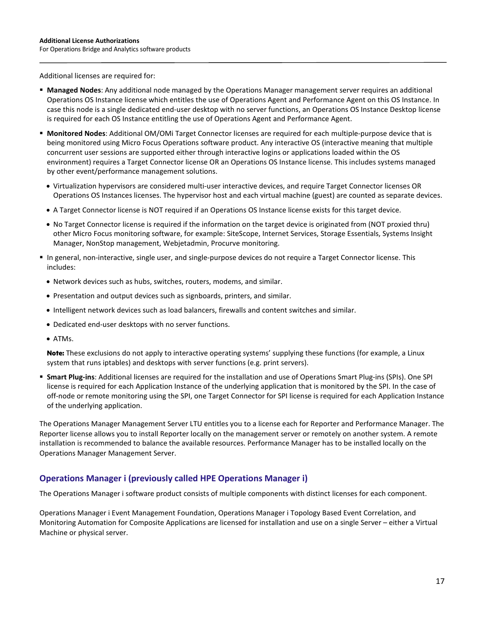Additional licenses are required for:

- **Managed Nodes**: Any additional node managed by the Operations Manager management server requires an additional Operations OS Instance license which entitles the use of Operations Agent and Performance Agent on this OS Instance. In case this node is a single dedicated end-user desktop with no server functions, an Operations OS Instance Desktop license is required for each OS Instance entitling the use of Operations Agent and Performance Agent.
- **Monitored Nodes**: Additional OM/OMi Target Connector licenses are required for each multiple-purpose device that is being monitored using Micro Focus Operations software product. Any interactive OS (interactive meaning that multiple concurrent user sessions are supported either through interactive logins or applications loaded within the OS environment) requires a Target Connector license OR an Operations OS Instance license. This includes systems managed by other event/performance management solutions.
	- Virtualization hypervisors are considered multi-user interactive devices, and require Target Connector licenses OR Operations OS Instances licenses. The hypervisor host and each virtual machine (guest) are counted as separate devices.
	- A Target Connector license is NOT required if an Operations OS Instance license exists for this target device.
	- No Target Connector license is required if the information on the target device is originated from (NOT proxied thru) other Micro Focus monitoring software, for example: SiteScope, Internet Services, Storage Essentials, Systems Insight Manager, NonStop management, Webjetadmin, Procurve monitoring.
- In general, non-interactive, single user, and single-purpose devices do not require a Target Connector license. This includes:
	- Network devices such as hubs, switches, routers, modems, and similar.
	- Presentation and output devices such as signboards, printers, and similar.
	- Intelligent network devices such as load balancers, firewalls and content switches and similar.
	- Dedicated end-user desktops with no server functions.
	- ATMs.

**Note:** These exclusions do not apply to interactive operating systems' supplying these functions (for example, a Linux system that runs iptables) and desktops with server functions (e.g. print servers).

 **Smart Plug-ins**: Additional licenses are required for the installation and use of Operations Smart Plug-ins (SPIs). One SPI license is required for each Application Instance of the underlying application that is monitored by the SPI. In the case of off-node or remote monitoring using the SPI, one Target Connector for SPI license is required for each Application Instance of the underlying application.

The Operations Manager Management Server LTU entitles you to a license each for Reporter and Performance Manager. The Reporter license allows you to install Reporter locally on the management server or remotely on another system. A remote installation is recommended to balance the available resources. Performance Manager has to be installed locally on the Operations Manager Management Server.

#### **Operations Manager i (previously called HPE Operations Manager i)**

The Operations Manager i software product consists of multiple components with distinct licenses for each component.

Operations Manager i Event Management Foundation, Operations Manager i Topology Based Event Correlation, and Monitoring Automation for Composite Applications are licensed for installation and use on a single Server – either a Virtual Machine or physical server.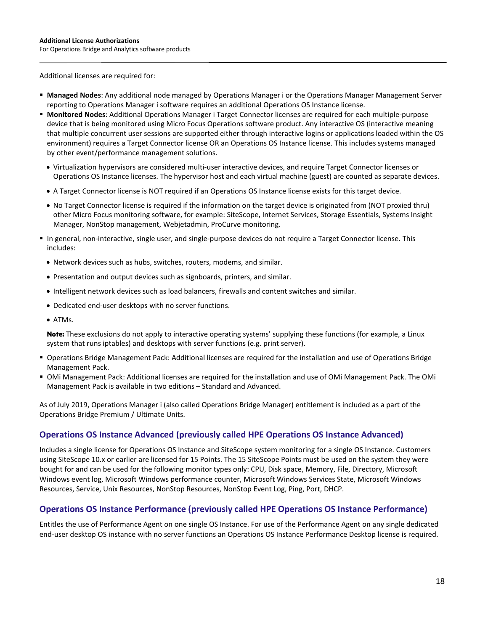For Operations Bridge and Analytics software products

Additional licenses are required for:

- **Managed Nodes**: Any additional node managed by Operations Manager i or the Operations Manager Management Server reporting to Operations Manager i software requires an additional Operations OS Instance license.
- **Monitored Nodes**: Additional Operations Manager i Target Connector licenses are required for each multiple-purpose device that is being monitored using Micro Focus Operations software product. Any interactive OS (interactive meaning that multiple concurrent user sessions are supported either through interactive logins or applications loaded within the OS environment) requires a Target Connector license OR an Operations OS Instance license. This includes systems managed by other event/performance management solutions.
	- Virtualization hypervisors are considered multi-user interactive devices, and require Target Connector licenses or Operations OS Instance licenses. The hypervisor host and each virtual machine (guest) are counted as separate devices.
	- A Target Connector license is NOT required if an Operations OS Instance license exists for this target device.
	- No Target Connector license is required if the information on the target device is originated from (NOT proxied thru) other Micro Focus monitoring software, for example: SiteScope, Internet Services, Storage Essentials, Systems Insight Manager, NonStop management, Webjetadmin, ProCurve monitoring.
- In general, non-interactive, single user, and single-purpose devices do not require a Target Connector license. This includes:
	- Network devices such as hubs, switches, routers, modems, and similar.
	- Presentation and output devices such as signboards, printers, and similar.
	- Intelligent network devices such as load balancers, firewalls and content switches and similar.
	- Dedicated end-user desktops with no server functions.
	- ATMs.

**Note:** These exclusions do not apply to interactive operating systems' supplying these functions (for example, a Linux system that runs iptables) and desktops with server functions (e.g. print server).

- Operations Bridge Management Pack: Additional licenses are required for the installation and use of Operations Bridge Management Pack.
- OMi Management Pack: Additional licenses are required for the installation and use of OMi Management Pack. The OMi Management Pack is available in two editions – Standard and Advanced.

As of July 2019, Operations Manager i (also called Operations Bridge Manager) entitlement is included as a part of the Operations Bridge Premium / Ultimate Units.

#### **Operations OS Instance Advanced (previously called HPE Operations OS Instance Advanced)**

Includes a single license for Operations OS Instance and SiteScope system monitoring for a single OS Instance. Customers using SiteScope 10.x or earlier are licensed for 15 Points. The 15 SiteScope Points must be used on the system they were bought for and can be used for the following monitor types only: CPU, Disk space, Memory, File, Directory, Microsoft Windows event log, Microsoft Windows performance counter, Microsoft Windows Services State, Microsoft Windows Resources, Service, Unix Resources, NonStop Resources, NonStop Event Log, Ping, Port, DHCP.

#### **Operations OS Instance Performance (previously called HPE Operations OS Instance Performance)**

Entitles the use of Performance Agent on one single OS Instance. For use of the Performance Agent on any single dedicated end-user desktop OS instance with no server functions an Operations OS Instance Performance Desktop license is required.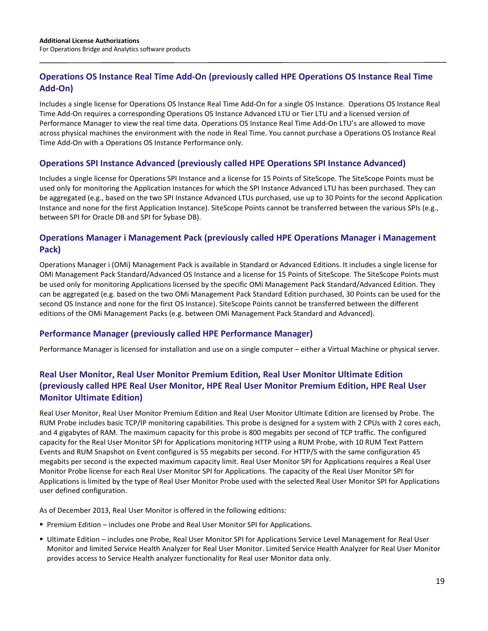## **Operations OS Instance Real Time Add-On (previously called HPE Operations OS Instance Real Time Add-On)**

Includes a single license for Operations OS Instance Real Time Add-On for a single OS Instance. Operations OS Instance Real Time Add-On requires a corresponding Operations OS Instance Advanced LTU or Tier LTU and a licensed version of Performance Manager to view the real time data. Operations OS Instance Real Time Add-On LTU's are allowed to move across physical machines the environment with the node in Real Time. You cannot purchase a Operations OS Instance Real Time Add-On with a Operations OS Instance Performance only.

#### **Operations SPI Instance Advanced (previously called HPE Operations SPI Instance Advanced)**

Includes a single license for Operations SPI Instance and a license for 15 Points of SiteScope. The SiteScope Points must be used only for monitoring the Application Instances for which the SPI Instance Advanced LTU has been purchased. They can be aggregated (e.g., based on the two SPI Instance Advanced LTUs purchased, use up to 30 Points for the second Application Instance and none for the first Application Instance). SiteScope Points cannot be transferred between the various SPIs (e.g., between SPI for Oracle DB and SPI for Sybase DB).

#### **Operations Manager i Management Pack (previously called HPE Operations Manager i Management Pack)**

Operations Manager i (OMi) Management Pack is available in Standard or Advanced Editions. It includes a single license for OMi Management Pack Standard/Advanced OS Instance and a license for 15 Points of SiteScope. The SiteScope Points must be used only for monitoring Applications licensed by the specific OMi Management Pack Standard/Advanced Edition. They can be aggregated (e.g. based on the two OMi Management Pack Standard Edition purchased, 30 Points can be used for the second OS Instance and none for the first OS Instance). SiteScope Points cannot be transferred between the different editions of the OMi Management Packs (e.g. between OMi Management Pack Standard and Advanced).

#### **Performance Manager (previously called HPE Performance Manager)**

Performance Manager is licensed for installation and use on a single computer – either a Virtual Machine or physical server.

## **Real User Monitor, Real User Monitor Premium Edition, Real User Monitor Ultimate Edition (previously called HPE Real User Monitor, HPE Real User Monitor Premium Edition, HPE Real User Monitor Ultimate Edition)**

Real User Monitor, Real User Monitor Premium Edition and Real User Monitor Ultimate Edition are licensed by Probe. The RUM Probe includes basic TCP/IP monitoring capabilities. This probe is designed for a system with 2 CPUs with 2 cores each, and 4 gigabytes of RAM. The maximum capacity for this probe is 800 megabits per second of TCP traffic. The configured capacity for the Real User Monitor SPI for Applications monitoring HTTP using a RUM Probe, with 10 RUM Text Pattern Events and RUM Snapshot on Event configured is 55 megabits per second. For HTTP/S with the same configuration 45 megabits per second is the expected maximum capacity limit. Real User Monitor SPI for Applications requires a Real User Monitor Probe license for each Real User Monitor SPI for Applications. The capacity of the Real User Monitor SPI for Applications is limited by the type of Real User Monitor Probe used with the selected Real User Monitor SPI for Applications user defined configuration.

As of December 2013, Real User Monitor is offered in the following editions:

- **Premium Edition includes one Probe and Real User Monitor SPI for Applications.**
- Ultimate Edition includes one Probe, Real User Monitor SPI for Applications Service Level Management for Real User Monitor and limited Service Health Analyzer for Real User Monitor. Limited Service Health Analyzer for Real User Monitor provides access to Service Health analyzer functionality for Real user Monitor data only.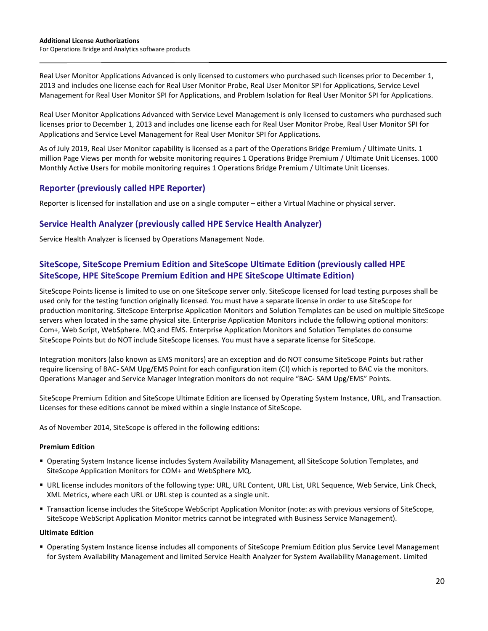Real User Monitor Applications Advanced is only licensed to customers who purchased such licenses prior to December 1, 2013 and includes one license each for Real User Monitor Probe, Real User Monitor SPI for Applications, Service Level Management for Real User Monitor SPI for Applications, and Problem Isolation for Real User Monitor SPI for Applications.

Real User Monitor Applications Advanced with Service Level Management is only licensed to customers who purchased such licenses prior to December 1, 2013 and includes one license each for Real User Monitor Probe, Real User Monitor SPI for Applications and Service Level Management for Real User Monitor SPI for Applications.

As of July 2019, Real User Monitor capability is licensed as a part of the Operations Bridge Premium / Ultimate Units. 1 million Page Views per month for website monitoring requires 1 Operations Bridge Premium / Ultimate Unit Licenses. 1000 Monthly Active Users for mobile monitoring requires 1 Operations Bridge Premium / Ultimate Unit Licenses.

#### **Reporter (previously called HPE Reporter)**

Reporter is licensed for installation and use on a single computer – either a Virtual Machine or physical server.

#### **Service Health Analyzer (previously called HPE Service Health Analyzer)**

Service Health Analyzer is licensed by Operations Management Node.

## **SiteScope, SiteScope Premium Edition and SiteScope Ultimate Edition (previously called HPE SiteScope, HPE SiteScope Premium Edition and HPE SiteScope Ultimate Edition)**

SiteScope Points license is limited to use on one SiteScope server only. SiteScope licensed for load testing purposes shall be used only for the testing function originally licensed. You must have a separate license in order to use SiteScope for production monitoring. SiteScope Enterprise Application Monitors and Solution Templates can be used on multiple SiteScope servers when located in the same physical site. Enterprise Application Monitors include the following optional monitors: Com+, Web Script, WebSphere. MQ and EMS. Enterprise Application Monitors and Solution Templates do consume SiteScope Points but do NOT include SiteScope licenses. You must have a separate license for SiteScope.

Integration monitors (also known as EMS monitors) are an exception and do NOT consume SiteScope Points but rather require licensing of BAC- SAM Upg/EMS Point for each configuration item (CI) which is reported to BAC via the monitors. Operations Manager and Service Manager Integration monitors do not require "BAC- SAM Upg/EMS" Points.

SiteScope Premium Edition and SiteScope Ultimate Edition are licensed by Operating System Instance, URL, and Transaction. Licenses for these editions cannot be mixed within a single Instance of SiteScope.

As of November 2014, SiteScope is offered in the following editions:

#### **Premium Edition**

- Operating System Instance license includes System Availability Management, all SiteScope Solution Templates, and SiteScope Application Monitors for COM+ and WebSphere MQ.
- URL license includes monitors of the following type: URL, URL Content, URL List, URL Sequence, Web Service, Link Check, XML Metrics, where each URL or URL step is counted as a single unit.
- Transaction license includes the SiteScope WebScript Application Monitor (note: as with previous versions of SiteScope, SiteScope WebScript Application Monitor metrics cannot be integrated with Business Service Management).

#### **Ultimate Edition**

 Operating System Instance license includes all components of SiteScope Premium Edition plus Service Level Management for System Availability Management and limited Service Health Analyzer for System Availability Management. Limited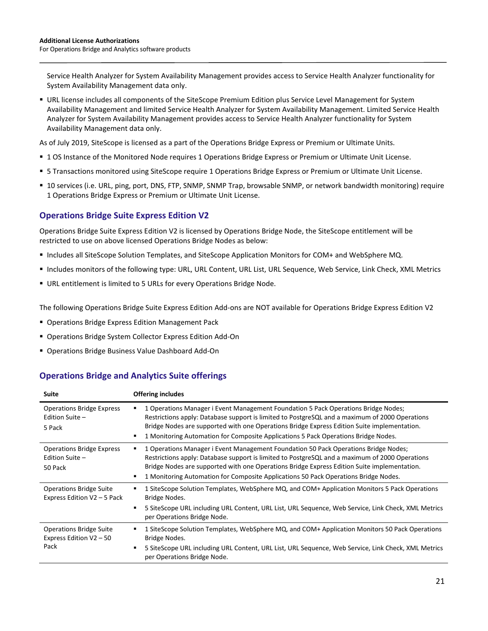Service Health Analyzer for System Availability Management provides access to Service Health Analyzer functionality for System Availability Management data only.

 URL license includes all components of the SiteScope Premium Edition plus Service Level Management for System Availability Management and limited Service Health Analyzer for System Availability Management. Limited Service Health Analyzer for System Availability Management provides access to Service Health Analyzer functionality for System Availability Management data only.

As of July 2019, SiteScope is licensed as a part of the Operations Bridge Express or Premium or Ultimate Units.

- 1 OS Instance of the Monitored Node requires 1 Operations Bridge Express or Premium or Ultimate Unit License.
- 5 Transactions monitored using SiteScope require 1 Operations Bridge Express or Premium or Ultimate Unit License.
- 10 services (i.e. URL, ping, port, DNS, FTP, SNMP, SNMP Trap, browsable SNMP, or network bandwidth monitoring) require 1 Operations Bridge Express or Premium or Ultimate Unit License.

#### **Operations Bridge Suite Express Edition V2**

Operations Bridge Suite Express Edition V2 is licensed by Operations Bridge Node, the SiteScope entitlement will be restricted to use on above licensed Operations Bridge Nodes as below:

- Includes all SiteScope Solution Templates, and SiteScope Application Monitors for COM+ and WebSphere MQ.
- Includes monitors of the following type: URL, URL Content, URL List, URL Sequence, Web Service, Link Check, XML Metrics
- URL entitlement is limited to 5 URLs for every Operations Bridge Node.

The following Operations Bridge Suite Express Edition Add-ons are NOT available for Operations Bridge Express Edition V2

- **Derations Bridge Express Edition Management Pack**
- Operations Bridge System Collector Express Edition Add-On
- **Operations Bridge Business Value Dashboard Add-On**

#### **Operations Bridge and Analytics Suite offerings**

| <b>Suite</b>                                                      | <b>Offering includes</b>                                                                                                                                                                                                                                                                                                                                                            |
|-------------------------------------------------------------------|-------------------------------------------------------------------------------------------------------------------------------------------------------------------------------------------------------------------------------------------------------------------------------------------------------------------------------------------------------------------------------------|
| <b>Operations Bridge Express</b><br>Edition Suite -<br>5 Pack     | 1 Operations Manager i Event Management Foundation 5 Pack Operations Bridge Nodes;<br>٠<br>Restrictions apply: Database support is limited to PostgreSQL and a maximum of 2000 Operations<br>Bridge Nodes are supported with one Operations Bridge Express Edition Suite implementation.<br>1 Monitoring Automation for Composite Applications 5 Pack Operations Bridge Nodes.<br>٠ |
| <b>Operations Bridge Express</b><br>Edition Suite -<br>50 Pack    | 1 Operations Manager i Event Management Foundation 50 Pack Operations Bridge Nodes;<br>Restrictions apply: Database support is limited to PostgreSQL and a maximum of 2000 Operations<br>Bridge Nodes are supported with one Operations Bridge Express Edition Suite implementation.<br>1 Monitoring Automation for Composite Applications 50 Pack Operations Bridge Nodes.         |
| <b>Operations Bridge Suite</b><br>Express Edition V2 - 5 Pack     | 1 SiteScope Solution Templates, WebSphere MQ, and COM+ Application Monitors 5 Pack Operations<br>٠<br>Bridge Nodes.<br>5 SiteScope URL including URL Content, URL List, URL Sequence, Web Service, Link Check, XML Metrics<br>٠<br>per Operations Bridge Node.                                                                                                                      |
| <b>Operations Bridge Suite</b><br>Express Edition V2 - 50<br>Pack | 1 SiteScope Solution Templates, WebSphere MQ, and COM+ Application Monitors 50 Pack Operations<br>٠<br>Bridge Nodes.<br>5 SiteScope URL including URL Content, URL List, URL Sequence, Web Service, Link Check, XML Metrics<br>٠<br>per Operations Bridge Node.                                                                                                                     |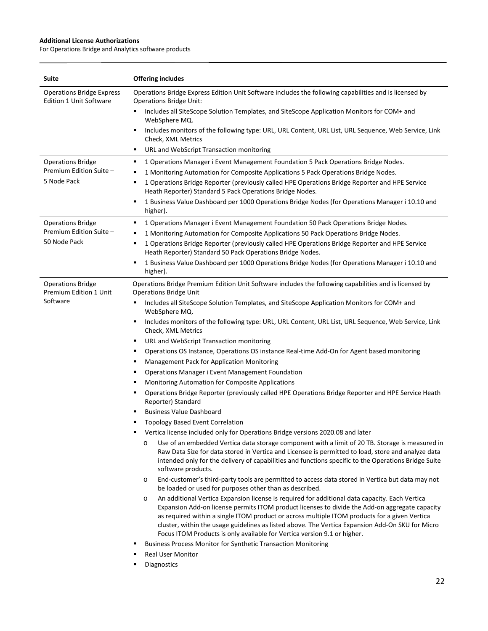| <b>Suite</b>                                                       | <b>Offering includes</b>                                                                                                                                                                                                                                                                                                                                                                                                                                                                     |
|--------------------------------------------------------------------|----------------------------------------------------------------------------------------------------------------------------------------------------------------------------------------------------------------------------------------------------------------------------------------------------------------------------------------------------------------------------------------------------------------------------------------------------------------------------------------------|
| <b>Operations Bridge Express</b><br><b>Edition 1 Unit Software</b> | Operations Bridge Express Edition Unit Software includes the following capabilities and is licensed by<br><b>Operations Bridge Unit:</b>                                                                                                                                                                                                                                                                                                                                                     |
|                                                                    | Includes all SiteScope Solution Templates, and SiteScope Application Monitors for COM+ and<br>WebSphere MQ.                                                                                                                                                                                                                                                                                                                                                                                  |
|                                                                    | Includes monitors of the following type: URL, URL Content, URL List, URL Sequence, Web Service, Link<br>٠<br>Check, XML Metrics                                                                                                                                                                                                                                                                                                                                                              |
|                                                                    | URL and WebScript Transaction monitoring<br>٠                                                                                                                                                                                                                                                                                                                                                                                                                                                |
| <b>Operations Bridge</b>                                           | 1 Operations Manager i Event Management Foundation 5 Pack Operations Bridge Nodes.<br>٠                                                                                                                                                                                                                                                                                                                                                                                                      |
| Premium Edition Suite -                                            | 1 Monitoring Automation for Composite Applications 5 Pack Operations Bridge Nodes.<br>٠                                                                                                                                                                                                                                                                                                                                                                                                      |
| 5 Node Pack                                                        | 1 Operations Bridge Reporter (previously called HPE Operations Bridge Reporter and HPE Service<br>٠<br>Heath Reporter) Standard 5 Pack Operations Bridge Nodes.                                                                                                                                                                                                                                                                                                                              |
|                                                                    | 1 Business Value Dashboard per 1000 Operations Bridge Nodes (for Operations Manager i 10.10 and<br>٠<br>higher).                                                                                                                                                                                                                                                                                                                                                                             |
| <b>Operations Bridge</b>                                           | 1 Operations Manager i Event Management Foundation 50 Pack Operations Bridge Nodes.<br>٠                                                                                                                                                                                                                                                                                                                                                                                                     |
| Premium Edition Suite -                                            | 1 Monitoring Automation for Composite Applications 50 Pack Operations Bridge Nodes.<br>٠                                                                                                                                                                                                                                                                                                                                                                                                     |
| 50 Node Pack                                                       | 1 Operations Bridge Reporter (previously called HPE Operations Bridge Reporter and HPE Service<br>٠<br>Heath Reporter) Standard 50 Pack Operations Bridge Nodes.                                                                                                                                                                                                                                                                                                                             |
|                                                                    | 1 Business Value Dashboard per 1000 Operations Bridge Nodes (for Operations Manager i 10.10 and<br>٠<br>higher).                                                                                                                                                                                                                                                                                                                                                                             |
| <b>Operations Bridge</b><br>Premium Edition 1 Unit                 | Operations Bridge Premium Edition Unit Software includes the following capabilities and is licensed by<br><b>Operations Bridge Unit</b>                                                                                                                                                                                                                                                                                                                                                      |
| Software                                                           | Includes all SiteScope Solution Templates, and SiteScope Application Monitors for COM+ and<br>WebSphere MQ.                                                                                                                                                                                                                                                                                                                                                                                  |
|                                                                    | Includes monitors of the following type: URL, URL Content, URL List, URL Sequence, Web Service, Link<br>٠<br>Check, XML Metrics                                                                                                                                                                                                                                                                                                                                                              |
|                                                                    | URL and WebScript Transaction monitoring<br>٠                                                                                                                                                                                                                                                                                                                                                                                                                                                |
|                                                                    | Operations OS Instance, Operations OS instance Real-time Add-On for Agent based monitoring<br>٠                                                                                                                                                                                                                                                                                                                                                                                              |
|                                                                    | Management Pack for Application Monitoring<br>٠                                                                                                                                                                                                                                                                                                                                                                                                                                              |
|                                                                    | <b>Operations Manager i Event Management Foundation</b><br>٠                                                                                                                                                                                                                                                                                                                                                                                                                                 |
|                                                                    | Monitoring Automation for Composite Applications<br>٠                                                                                                                                                                                                                                                                                                                                                                                                                                        |
|                                                                    | Operations Bridge Reporter (previously called HPE Operations Bridge Reporter and HPE Service Heath<br>٠<br>Reporter) Standard                                                                                                                                                                                                                                                                                                                                                                |
|                                                                    | <b>Business Value Dashboard</b>                                                                                                                                                                                                                                                                                                                                                                                                                                                              |
|                                                                    | <b>Topology Based Event Correlation</b>                                                                                                                                                                                                                                                                                                                                                                                                                                                      |
|                                                                    | Vertica license included only for Operations Bridge versions 2020.08 and later                                                                                                                                                                                                                                                                                                                                                                                                               |
|                                                                    | Use of an embedded Vertica data storage component with a limit of 20 TB. Storage is measured in<br>O<br>Raw Data Size for data stored in Vertica and Licensee is permitted to load, store and analyze data<br>intended only for the delivery of capabilities and functions specific to the Operations Bridge Suite<br>software products.                                                                                                                                                     |
|                                                                    | End-customer's third-party tools are permitted to access data stored in Vertica but data may not<br>$\circ$<br>be loaded or used for purposes other than as described.                                                                                                                                                                                                                                                                                                                       |
|                                                                    | An additional Vertica Expansion license is required for additional data capacity. Each Vertica<br>$\circ$<br>Expansion Add-on license permits ITOM product licenses to divide the Add-on aggregate capacity<br>as required within a single ITOM product or across multiple ITOM products for a given Vertica<br>cluster, within the usage guidelines as listed above. The Vertica Expansion Add-On SKU for Micro<br>Focus ITOM Products is only available for Vertica version 9.1 or higher. |
|                                                                    | <b>Business Process Monitor for Synthetic Transaction Monitoring</b><br>٠                                                                                                                                                                                                                                                                                                                                                                                                                    |
|                                                                    | <b>Real User Monitor</b><br>٠                                                                                                                                                                                                                                                                                                                                                                                                                                                                |
|                                                                    | Diagnostics<br>٠                                                                                                                                                                                                                                                                                                                                                                                                                                                                             |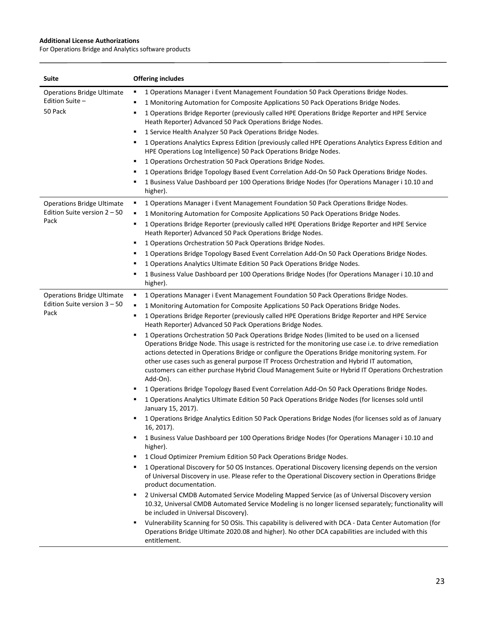| Suite                                                                       | <b>Offering includes</b>                                                                                                                                                                                                                                                                                                                                                                                                                                                                                                                                                                                                                                                                                                                                                                                                                                                                                                                                                                                                                                                                                                                                                                                                                                                                                                                                                                                                                                                                                                                                                                                                                                                                                                                                                                                                                                                                                                                                                                                                                                                                                                                                                                 |
|-----------------------------------------------------------------------------|------------------------------------------------------------------------------------------------------------------------------------------------------------------------------------------------------------------------------------------------------------------------------------------------------------------------------------------------------------------------------------------------------------------------------------------------------------------------------------------------------------------------------------------------------------------------------------------------------------------------------------------------------------------------------------------------------------------------------------------------------------------------------------------------------------------------------------------------------------------------------------------------------------------------------------------------------------------------------------------------------------------------------------------------------------------------------------------------------------------------------------------------------------------------------------------------------------------------------------------------------------------------------------------------------------------------------------------------------------------------------------------------------------------------------------------------------------------------------------------------------------------------------------------------------------------------------------------------------------------------------------------------------------------------------------------------------------------------------------------------------------------------------------------------------------------------------------------------------------------------------------------------------------------------------------------------------------------------------------------------------------------------------------------------------------------------------------------------------------------------------------------------------------------------------------------|
| <b>Operations Bridge Ultimate</b><br>Edition Suite -<br>50 Pack             | 1 Operations Manager i Event Management Foundation 50 Pack Operations Bridge Nodes.<br>٠<br>1 Monitoring Automation for Composite Applications 50 Pack Operations Bridge Nodes.<br>٠<br>1 Operations Bridge Reporter (previously called HPE Operations Bridge Reporter and HPE Service<br>٠<br>Heath Reporter) Advanced 50 Pack Operations Bridge Nodes.<br>1 Service Health Analyzer 50 Pack Operations Bridge Nodes.<br>٠<br>1 Operations Analytics Express Edition (previously called HPE Operations Analytics Express Edition and<br>٠<br>HPE Operations Log Intelligence) 50 Pack Operations Bridge Nodes.<br>1 Operations Orchestration 50 Pack Operations Bridge Nodes.<br>٠<br>1 Operations Bridge Topology Based Event Correlation Add-On 50 Pack Operations Bridge Nodes.<br>٠<br>1 Business Value Dashboard per 100 Operations Bridge Nodes (for Operations Manager i 10.10 and<br>٠<br>higher).                                                                                                                                                                                                                                                                                                                                                                                                                                                                                                                                                                                                                                                                                                                                                                                                                                                                                                                                                                                                                                                                                                                                                                                                                                                                              |
| <b>Operations Bridge Ultimate</b><br>Edition Suite version $2 - 50$<br>Pack | 1 Operations Manager i Event Management Foundation 50 Pack Operations Bridge Nodes.<br>٠<br>1 Monitoring Automation for Composite Applications 50 Pack Operations Bridge Nodes.<br>٠<br>1 Operations Bridge Reporter (previously called HPE Operations Bridge Reporter and HPE Service<br>٠<br>Heath Reporter) Advanced 50 Pack Operations Bridge Nodes.<br>1 Operations Orchestration 50 Pack Operations Bridge Nodes.<br>٠<br>1 Operations Bridge Topology Based Event Correlation Add-On 50 Pack Operations Bridge Nodes.<br>٠<br>1 Operations Analytics Ultimate Edition 50 Pack Operations Bridge Nodes.<br>٠<br>1 Business Value Dashboard per 100 Operations Bridge Nodes (for Operations Manager i 10.10 and<br>higher).                                                                                                                                                                                                                                                                                                                                                                                                                                                                                                                                                                                                                                                                                                                                                                                                                                                                                                                                                                                                                                                                                                                                                                                                                                                                                                                                                                                                                                                         |
| <b>Operations Bridge Ultimate</b><br>Edition Suite version $3 - 50$<br>Pack | 1 Operations Manager i Event Management Foundation 50 Pack Operations Bridge Nodes.<br>٠<br>1 Monitoring Automation for Composite Applications 50 Pack Operations Bridge Nodes.<br>٠<br>1 Operations Bridge Reporter (previously called HPE Operations Bridge Reporter and HPE Service<br>٠<br>Heath Reporter) Advanced 50 Pack Operations Bridge Nodes.<br>1 Operations Orchestration 50 Pack Operations Bridge Nodes (limited to be used on a licensed<br>٠<br>Operations Bridge Node. This usage is restricted for the monitoring use case i.e. to drive remediation<br>actions detected in Operations Bridge or configure the Operations Bridge monitoring system. For<br>other use cases such as general purpose IT Process Orchestration and Hybrid IT automation,<br>customers can either purchase Hybrid Cloud Management Suite or Hybrid IT Operations Orchestration<br>Add-On).<br>1 Operations Bridge Topology Based Event Correlation Add-On 50 Pack Operations Bridge Nodes.<br>1 Operations Analytics Ultimate Edition 50 Pack Operations Bridge Nodes (for licenses sold until<br>٠<br>January 15, 2017).<br>1 Operations Bridge Analytics Edition 50 Pack Operations Bridge Nodes (for licenses sold as of January<br>16, 2017).<br>1 Business Value Dashboard per 100 Operations Bridge Nodes (for Operations Manager i 10.10 and<br>٠<br>higher).<br>1 Cloud Optimizer Premium Edition 50 Pack Operations Bridge Nodes.<br>٠<br>1 Operational Discovery for 50 OS Instances. Operational Discovery licensing depends on the version<br>٠<br>of Universal Discovery in use. Please refer to the Operational Discovery section in Operations Bridge<br>product documentation.<br>2 Universal CMDB Automated Service Modeling Mapped Service (as of Universal Discovery version<br>٠<br>10.32, Universal CMDB Automated Service Modeling is no longer licensed separately; functionality will<br>be included in Universal Discovery).<br>Vulnerability Scanning for 50 OSIs. This capability is delivered with DCA - Data Center Automation (for<br>٠<br>Operations Bridge Ultimate 2020.08 and higher). No other DCA capabilities are included with this<br>entitlement. |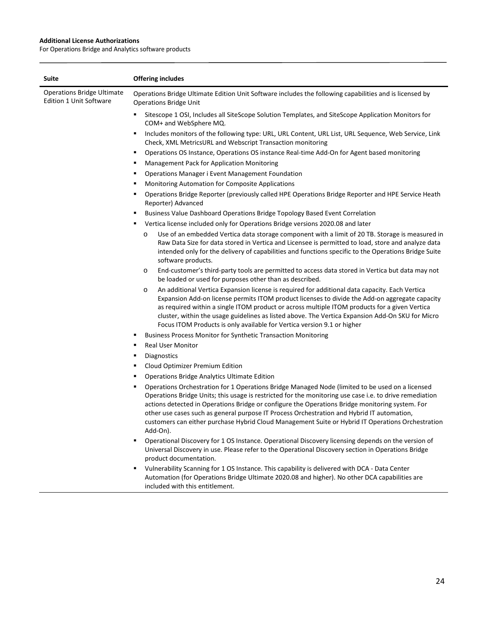| <b>Suite</b>                                                        | <b>Offering includes</b>                                                                                                                                                                                                                                                                                                                                                                                                                                                                                                          |
|---------------------------------------------------------------------|-----------------------------------------------------------------------------------------------------------------------------------------------------------------------------------------------------------------------------------------------------------------------------------------------------------------------------------------------------------------------------------------------------------------------------------------------------------------------------------------------------------------------------------|
| <b>Operations Bridge Ultimate</b><br><b>Edition 1 Unit Software</b> | Operations Bridge Ultimate Edition Unit Software includes the following capabilities and is licensed by<br><b>Operations Bridge Unit</b>                                                                                                                                                                                                                                                                                                                                                                                          |
|                                                                     | Sitescope 1 OSI, Includes all SiteScope Solution Templates, and SiteScope Application Monitors for<br>COM+ and WebSphere MQ.                                                                                                                                                                                                                                                                                                                                                                                                      |
|                                                                     | Includes monitors of the following type: URL, URL Content, URL List, URL Sequence, Web Service, Link<br>Е<br>Check, XML MetricsURL and Webscript Transaction monitoring                                                                                                                                                                                                                                                                                                                                                           |
|                                                                     | Operations OS Instance, Operations OS instance Real-time Add-On for Agent based monitoring<br>п                                                                                                                                                                                                                                                                                                                                                                                                                                   |
|                                                                     | Management Pack for Application Monitoring<br>Е                                                                                                                                                                                                                                                                                                                                                                                                                                                                                   |
|                                                                     | <b>Operations Manager i Event Management Foundation</b><br>Е                                                                                                                                                                                                                                                                                                                                                                                                                                                                      |
|                                                                     | Monitoring Automation for Composite Applications<br>Е                                                                                                                                                                                                                                                                                                                                                                                                                                                                             |
|                                                                     | Operations Bridge Reporter (previously called HPE Operations Bridge Reporter and HPE Service Heath<br>Е<br>Reporter) Advanced                                                                                                                                                                                                                                                                                                                                                                                                     |
|                                                                     | Business Value Dashboard Operations Bridge Topology Based Event Correlation<br>٠                                                                                                                                                                                                                                                                                                                                                                                                                                                  |
|                                                                     | Vertica license included only for Operations Bridge versions 2020.08 and later<br>Е                                                                                                                                                                                                                                                                                                                                                                                                                                               |
|                                                                     | Use of an embedded Vertica data storage component with a limit of 20 TB. Storage is measured in<br>$\circ$<br>Raw Data Size for data stored in Vertica and Licensee is permitted to load, store and analyze data<br>intended only for the delivery of capabilities and functions specific to the Operations Bridge Suite<br>software products.                                                                                                                                                                                    |
|                                                                     | End-customer's third-party tools are permitted to access data stored in Vertica but data may not<br>O<br>be loaded or used for purposes other than as described.                                                                                                                                                                                                                                                                                                                                                                  |
|                                                                     | An additional Vertica Expansion license is required for additional data capacity. Each Vertica<br>O<br>Expansion Add-on license permits ITOM product licenses to divide the Add-on aggregate capacity<br>as required within a single ITOM product or across multiple ITOM products for a given Vertica<br>cluster, within the usage guidelines as listed above. The Vertica Expansion Add-On SKU for Micro<br>Focus ITOM Products is only available for Vertica version 9.1 or higher                                             |
|                                                                     | Business Process Monitor for Synthetic Transaction Monitoring<br>٠                                                                                                                                                                                                                                                                                                                                                                                                                                                                |
|                                                                     | <b>Real User Monitor</b><br>Е                                                                                                                                                                                                                                                                                                                                                                                                                                                                                                     |
|                                                                     | <b>Diagnostics</b><br>Е                                                                                                                                                                                                                                                                                                                                                                                                                                                                                                           |
|                                                                     | Cloud Optimizer Premium Edition<br>Е                                                                                                                                                                                                                                                                                                                                                                                                                                                                                              |
|                                                                     | <b>Operations Bridge Analytics Ultimate Edition</b><br>٠                                                                                                                                                                                                                                                                                                                                                                                                                                                                          |
|                                                                     | Operations Orchestration for 1 Operations Bridge Managed Node (limited to be used on a licensed<br>п<br>Operations Bridge Units; this usage is restricted for the monitoring use case i.e. to drive remediation<br>actions detected in Operations Bridge or configure the Operations Bridge monitoring system. For<br>other use cases such as general purpose IT Process Orchestration and Hybrid IT automation,<br>customers can either purchase Hybrid Cloud Management Suite or Hybrid IT Operations Orchestration<br>Add-On). |
|                                                                     | Operational Discovery for 1 OS Instance. Operational Discovery licensing depends on the version of<br>٠<br>Universal Discovery in use. Please refer to the Operational Discovery section in Operations Bridge<br>product documentation.                                                                                                                                                                                                                                                                                           |
|                                                                     | Vulnerability Scanning for 1 OS Instance. This capability is delivered with DCA - Data Center<br>٠<br>Automation (for Operations Bridge Ultimate 2020.08 and higher). No other DCA capabilities are<br>included with this entitlement.                                                                                                                                                                                                                                                                                            |